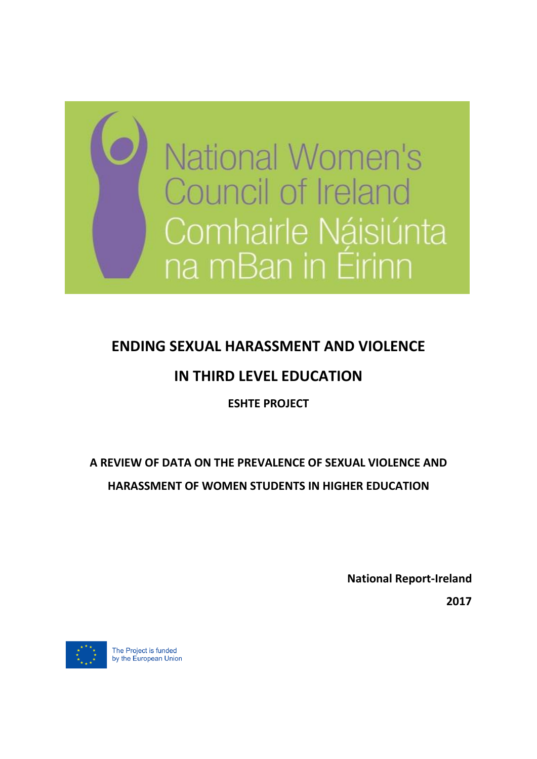

# **ENDING SEXUAL HARASSMENT AND VIOLENCE**

# **IN THIRD LEVEL EDUCATION**

# **ESHTE PROJECT**

# **A REVIEW OF DATA ON THE PREVALENCE OF SEXUAL VIOLENCE AND HARASSMENT OF WOMEN STUDENTS IN HIGHER EDUCATION**

**National Report-Ireland**

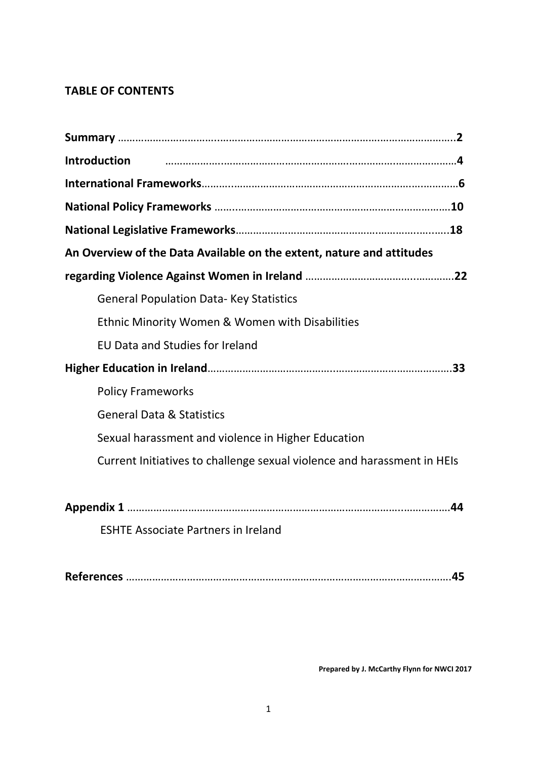# **TABLE OF CONTENTS**

| <b>Introduction</b>                                                     |
|-------------------------------------------------------------------------|
|                                                                         |
|                                                                         |
|                                                                         |
| An Overview of the Data Available on the extent, nature and attitudes   |
|                                                                         |
| <b>General Population Data- Key Statistics</b>                          |
| <b>Ethnic Minority Women &amp; Women with Disabilities</b>              |
| <b>EU Data and Studies for Ireland</b>                                  |
|                                                                         |
| <b>Policy Frameworks</b>                                                |
| <b>General Data &amp; Statistics</b>                                    |
| Sexual harassment and violence in Higher Education                      |
| Current Initiatives to challenge sexual violence and harassment in HEIs |
|                                                                         |
|                                                                         |
| <b>ESHTE Associate Partners in Ireland</b>                              |
|                                                                         |

**References** ………………………………………………………………………………………………….**45**

**Prepared by J. McCarthy Flynn for NWCI 2017**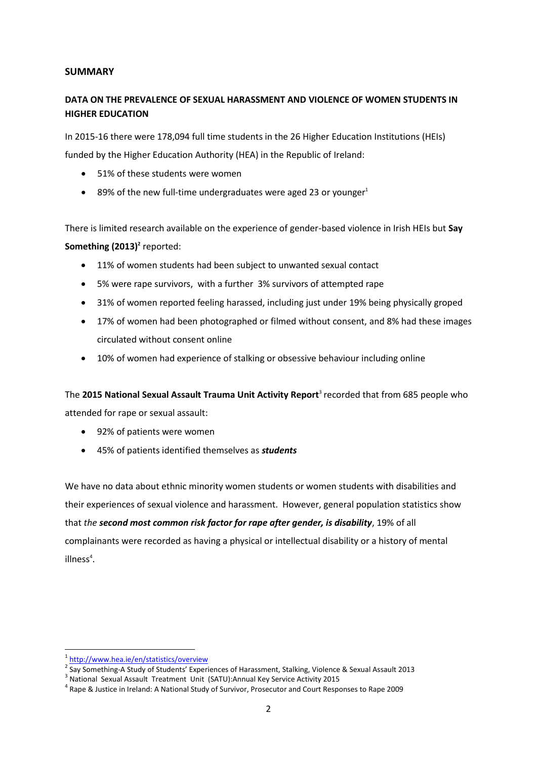### **SUMMARY**

### **DATA ON THE PREVALENCE OF SEXUAL HARASSMENT AND VIOLENCE OF WOMEN STUDENTS IN HIGHER EDUCATION**

In 2015-16 there were 178,094 full time students in the 26 Higher Education Institutions (HEIs) funded by the Higher Education Authority (HEA) in the Republic of Ireland:

- 51% of these students were women
- $\bullet$  89% of the new full-time undergraduates were aged 23 or younger<sup>1</sup>

There is limited research available on the experience of gender-based violence in Irish HEIs but **Say**  Something (2013)<sup>2</sup> reported:

- 11% of women students had been subject to unwanted sexual contact
- 5% were rape survivors, with a further 3% survivors of attempted rape
- 31% of women reported feeling harassed, including just under 19% being physically groped
- 17% of women had been photographed or filmed without consent, and 8% had these images circulated without consent online
- 10% of women had experience of stalking or obsessive behaviour including online

The 2015 National Sexual Assault Trauma Unit Activity Report<sup>3</sup> recorded that from 685 people who attended for rape or sexual assault:

- 92% of patients were women
- 45% of patients identified themselves as *students*

We have no data about ethnic minority women students or women students with disabilities and their experiences of sexual violence and harassment. However, general population statistics show that *the second most common risk factor for rape after gender, is disability*, 19% of all complainants were recorded as having a physical or intellectual disability or a history of mental illness<sup>4</sup>.

<sup>1</sup> <http://www.hea.ie/en/statistics/overview>

<sup>&</sup>lt;sup>2</sup> Say Something-A Study of Students' Experiences of Harassment, Stalking, Violence & Sexual Assault 2013

<sup>&</sup>lt;sup>3</sup> National Sexual Assault Treatment Unit (SATU):Annual Key Service Activity 2015

<sup>4</sup> Rape & Justice in Ireland: A National Study of Survivor, Prosecutor and Court Responses to Rape 2009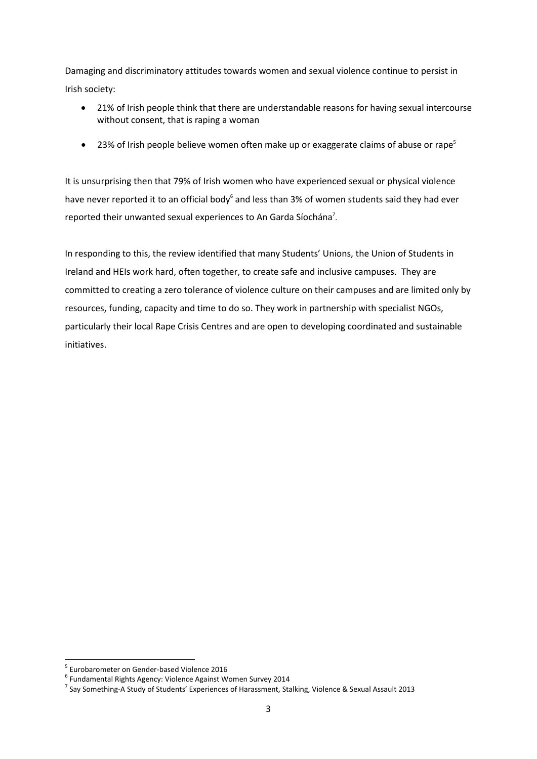Damaging and discriminatory attitudes towards women and sexual violence continue to persist in Irish society:

- 21% of Irish people think that there are understandable reasons for having sexual intercourse without consent, that is raping a woman
- 23% of Irish people believe women often make up or exaggerate claims of abuse or rape<sup>5</sup>

It is unsurprising then that 79% of Irish women who have experienced sexual or physical violence have never reported it to an official body<sup>6</sup> and less than 3% of women students said they had ever reported their unwanted sexual experiences to An Garda Síochána<sup>7</sup>.

In responding to this, the review identified that many Students' Unions, the Union of Students in Ireland and HEIs work hard, often together, to create safe and inclusive campuses. They are committed to creating a zero tolerance of violence culture on their campuses and are limited only by resources, funding, capacity and time to do so. They work in partnership with specialist NGOs, particularly their local Rape Crisis Centres and are open to developing coordinated and sustainable initiatives.

<sup>1</sup> 5 Eurobarometer on Gender-based Violence 2016

<sup>6</sup> Fundamental Rights Agency: Violence Against Women Survey 2014

<sup>&</sup>lt;sup>7</sup> Say Something-A Study of Students' Experiences of Harassment, Stalking, Violence & Sexual Assault 2013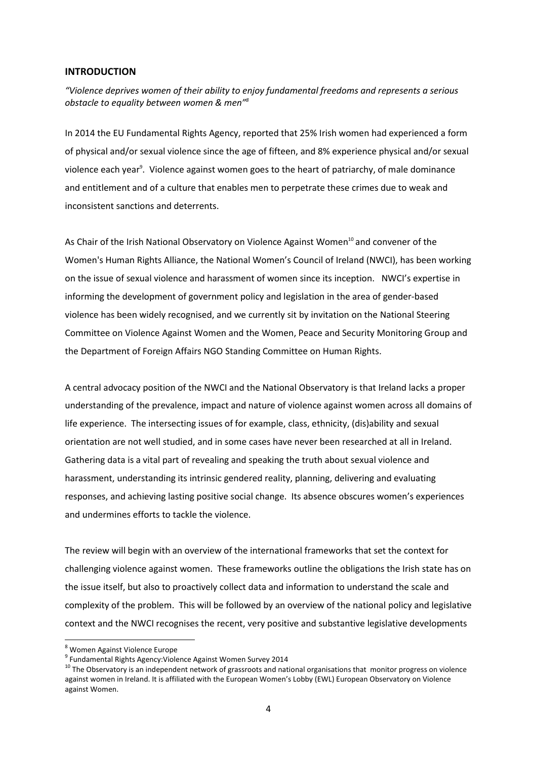#### **INTRODUCTION**

*"Violence deprives women of their ability to enjoy fundamental freedoms and represents a serious obstacle to equality between women & men"<sup>8</sup>*

In 2014 the EU Fundamental Rights Agency, reported that 25% Irish women had experienced a form of physical and/or sexual violence since the age of fifteen, and 8% experience physical and/or sexual violence each year<sup>9</sup>. Violence against women goes to the heart of patriarchy, of male dominance and entitlement and of a culture that enables men to perpetrate these crimes due to weak and inconsistent sanctions and deterrents.

As Chair of the Irish National Observatory on Violence Against Women<sup>10</sup> and convener of the Women's Human Rights Alliance, the National Women's Council of Ireland (NWCI), has been working on the issue of sexual violence and harassment of women since its inception. NWCI's expertise in informing the development of government policy and legislation in the area of gender-based violence has been widely recognised, and we currently sit by invitation on the National Steering Committee on Violence Against Women and the Women, Peace and Security Monitoring Group and the Department of Foreign Affairs NGO Standing Committee on Human Rights.

A central advocacy position of the NWCI and the National Observatory is that Ireland lacks a proper understanding of the prevalence, impact and nature of violence against women across all domains of life experience. The intersecting issues of for example, class, ethnicity, (dis)ability and sexual orientation are not well studied, and in some cases have never been researched at all in Ireland. Gathering data is a vital part of revealing and speaking the truth about sexual violence and harassment, understanding its intrinsic gendered reality, planning, delivering and evaluating responses, and achieving lasting positive social change. Its absence obscures women's experiences and undermines efforts to tackle the violence.

The review will begin with an overview of the international frameworks that set the context for challenging violence against women. These frameworks outline the obligations the Irish state has on the issue itself, but also to proactively collect data and information to understand the scale and complexity of the problem. This will be followed by an overview of the national policy and legislative context and the NWCI recognises the recent, very positive and substantive legislative developments

<sup>8</sup> Women Against Violence Europe

<sup>9</sup> Fundamental Rights Agency:Violence Against Women Survey 2014

<sup>&</sup>lt;sup>10</sup> The Observatory is an independent network of grassroots and national organisations that monitor progress on violence against women in Ireland. It is affiliated with the European Women's Lobby (EWL) European Observatory on Violence against Women.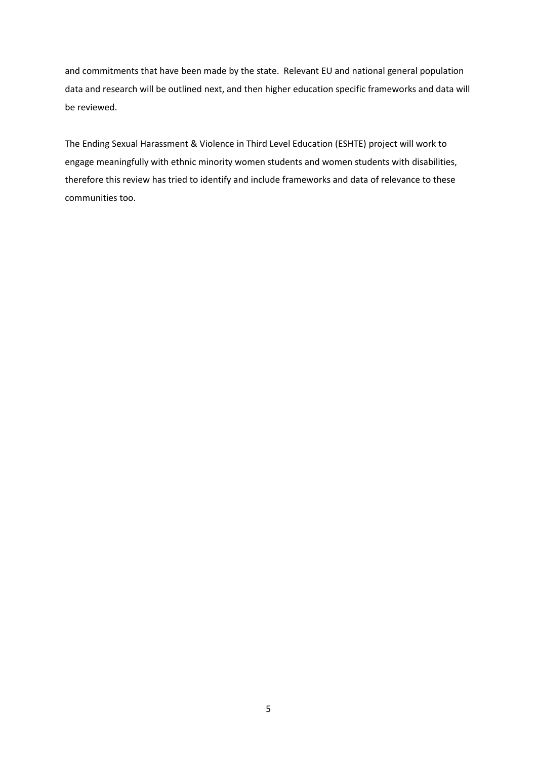and commitments that have been made by the state. Relevant EU and national general population data and research will be outlined next, and then higher education specific frameworks and data will be reviewed.

The Ending Sexual Harassment & Violence in Third Level Education (ESHTE) project will work to engage meaningfully with ethnic minority women students and women students with disabilities, therefore this review has tried to identify and include frameworks and data of relevance to these communities too.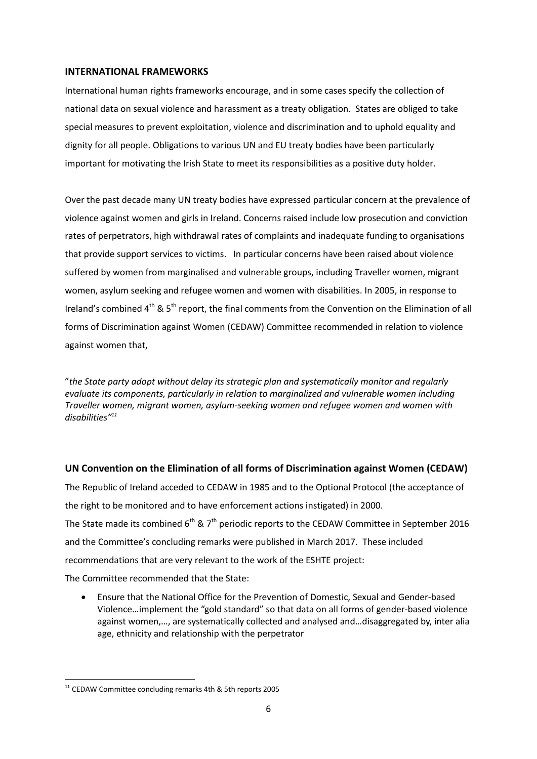### **INTERNATIONAL FRAMEWORKS**

International human rights frameworks encourage, and in some cases specify the collection of national data on sexual violence and harassment as a treaty obligation. States are obliged to take special measures to prevent exploitation, violence and discrimination and to uphold equality and dignity for all people. Obligations to various UN and EU treaty bodies have been particularly important for motivating the Irish State to meet its responsibilities as a positive duty holder.

Over the past decade many UN treaty bodies have expressed particular concern at the prevalence of violence against women and girls in Ireland. Concerns raised include low prosecution and conviction rates of perpetrators, high withdrawal rates of complaints and inadequate funding to organisations that provide support services to victims. In particular concerns have been raised about violence suffered by women from marginalised and vulnerable groups, including Traveller women, migrant women, asylum seeking and refugee women and women with disabilities. In 2005, in response to Ireland's combined  $4^{th}$  &  $5^{th}$  report, the final comments from the Convention on the Elimination of all forms of Discrimination against Women (CEDAW) Committee recommended in relation to violence against women that,

"*the State party adopt without delay its strategic plan and systematically monitor and regularly evaluate its components, particularly in relation to marginalized and vulnerable women including Traveller women, migrant women, asylum-seeking women and refugee women and women with disabilities"<sup>11</sup>*

### **UN Convention on the Elimination of all forms of Discrimination against Women (CEDAW)**

The Republic of Ireland acceded to CEDAW in 1985 and to the Optional Protocol (the acceptance of the right to be monitored and to have enforcement actions instigated) in 2000. The State made its combined 6<sup>th</sup> & 7<sup>th</sup> periodic reports to the CEDAW Committee in September 2016 and the Committee's concluding remarks were published in March 2017. These included recommendations that are very relevant to the work of the ESHTE project:

The Committee recommended that the State:

 Ensure that the National Office for the Prevention of Domestic, Sexual and Gender-based Violence…implement the "gold standard" so that data on all forms of gender-based violence against women,…, are systematically collected and analysed and…disaggregated by, inter alia age, ethnicity and relationship with the perpetrator

<sup>11</sup> CEDAW Committee concluding remarks 4th & 5th reports 2005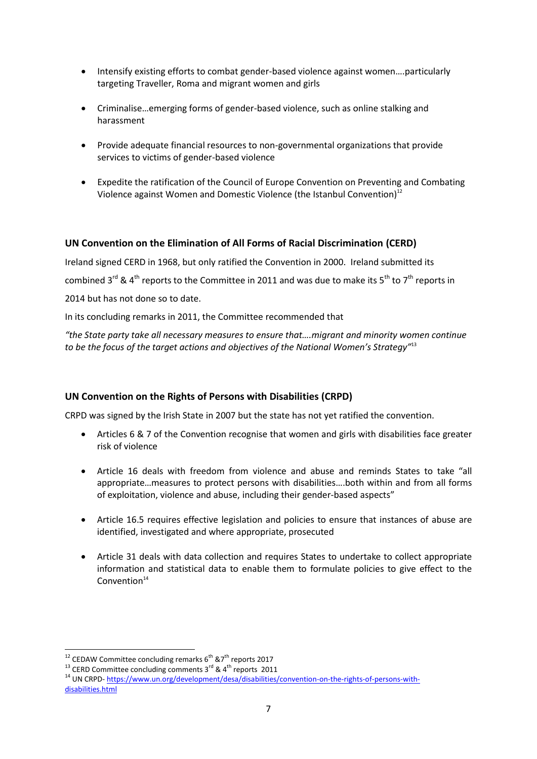- Intensify existing efforts to combat gender-based violence against women….particularly targeting Traveller, Roma and migrant women and girls
- Criminalise…emerging forms of gender-based violence, such as online stalking and harassment
- Provide adequate financial resources to non-governmental organizations that provide services to victims of gender-based violence
- Expedite the ratification of the Council of Europe Convention on Preventing and Combating Violence against Women and Domestic Violence (the Istanbul Convention)<sup>12</sup>

### **UN Convention on the Elimination of All Forms of Racial Discrimination (CERD)**

Ireland signed CERD in 1968, but only ratified the Convention in 2000. Ireland submitted its combined 3<sup>rd</sup> & 4<sup>th</sup> reports to the Committee in 2011 and was due to make its 5<sup>th</sup> to 7<sup>th</sup> reports in 2014 but has not done so to date.

In its concluding remarks in 2011, the Committee recommended that

*"the State party take all necessary measures to ensure that….migrant and minority women continue to be the focus of the target actions and objectives of the National Women's Strategy"*<sup>13</sup>

### **UN Convention on the Rights of Persons with Disabilities (CRPD)**

CRPD was signed by the Irish State in 2007 but the state has not yet ratified the convention.

- Articles 6 & 7 of the Convention recognise that women and girls with disabilities face greater risk of violence
- Article 16 deals with freedom from violence and abuse and reminds States to take "all appropriate…measures to protect persons with disabilities….both within and from all forms of exploitation, violence and abuse, including their gender-based aspects"
- Article 16.5 requires effective legislation and policies to ensure that instances of abuse are identified, investigated and where appropriate, prosecuted
- Article 31 deals with data collection and requires States to undertake to collect appropriate information and statistical data to enable them to formulate policies to give effect to the  $Convention<sup>14</sup>$

<sup>&</sup>lt;sup>12</sup> CEDAW Committee concluding remarks  $6<sup>th</sup> 87<sup>th</sup>$  reports 2017

<sup>&</sup>lt;sup>13</sup> CERD Committee concluding comments  $3^{rd}$  &  $4^{th}$  reports 2011

<sup>14</sup> UN CRPD- [https://www.un.org/development/desa/disabilities/convention-on-the-rights-of-persons-with](https://www.un.org/development/desa/disabilities/convention-on-the-rights-of-persons-with-disabilities.html)[disabilities.html](https://www.un.org/development/desa/disabilities/convention-on-the-rights-of-persons-with-disabilities.html)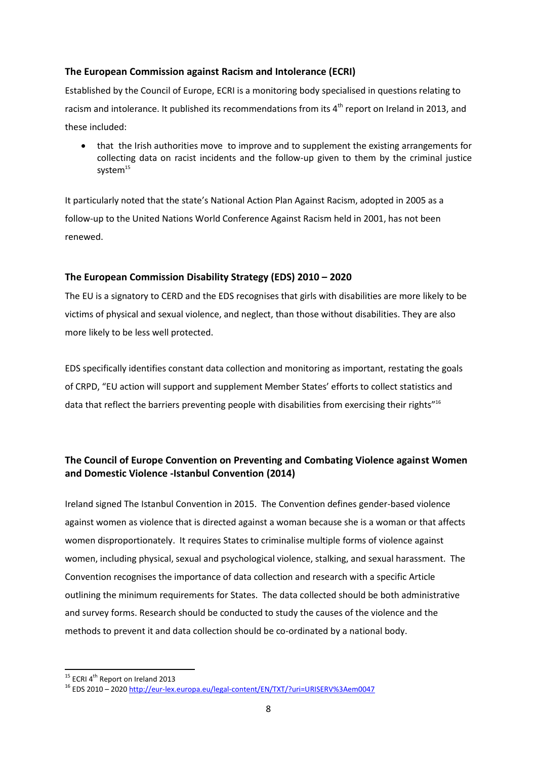### **The European Commission against Racism and Intolerance (ECRI)**

Established by the Council of Europe, ECRI is a monitoring body specialised in questions relating to racism and intolerance. It published its recommendations from its 4<sup>th</sup> report on Ireland in 2013, and these included:

 that the Irish authorities move to improve and to supplement the existing arrangements for collecting data on racist incidents and the follow-up given to them by the criminal justice system<sup>15</sup>

It particularly noted that the state's National Action Plan Against Racism, adopted in 2005 as a follow-up to the United Nations World Conference Against Racism held in 2001, has not been renewed.

### **The European Commission Disability Strategy (EDS) 2010 – 2020**

The EU is a signatory to CERD and the EDS recognises that girls with disabilities are more likely to be victims of physical and sexual violence, and neglect, than those without disabilities. They are also more likely to be less well protected.

EDS specifically identifies constant data collection and monitoring as important, restating the goals of CRPD, "EU action will support and supplement Member States' efforts to collect statistics and data that reflect the barriers preventing people with disabilities from exercising their rights"<sup>16</sup>

# **The Council of Europe Convention on Preventing and Combating Violence against Women and Domestic Violence -Istanbul Convention (2014)**

Ireland signed The Istanbul Convention in 2015. The Convention defines gender-based violence against women as violence that is directed against a woman because she is a woman or that affects women disproportionately. It requires States to criminalise multiple forms of violence against women, including physical, sexual and psychological violence, stalking, and sexual harassment. The Convention recognises the importance of data collection and research with a specific Article outlining the minimum requirements for States. The data collected should be both administrative and survey forms. Research should be conducted to study the causes of the violence and the methods to prevent it and data collection should be co-ordinated by a national body.

<sup>&</sup>lt;sup>15</sup> ECRI 4<sup>th</sup> Report on Ireland 2013

<sup>16</sup> EDS 2010 – 202[0 http://eur-lex.europa.eu/legal-content/EN/TXT/?uri=URISERV%3Aem0047](http://eur-lex.europa.eu/legal-content/EN/TXT/?uri=URISERV%3Aem0047)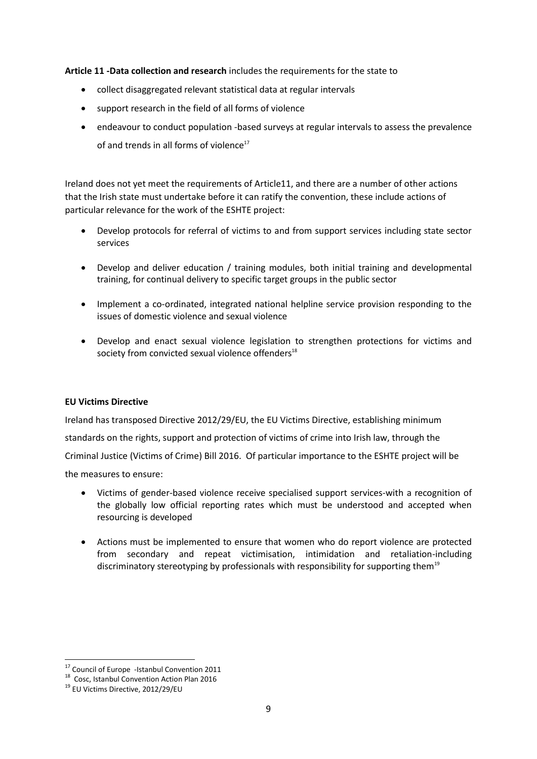**Article 11 -Data collection and research** includes the requirements for the state to

- collect disaggregated relevant statistical data at regular intervals
- support research in the field of all forms of violence
- endeavour to conduct population ‐based surveys at regular intervals to assess the prevalence of and trends in all forms of violence<sup>17</sup>

Ireland does not yet meet the requirements of Article11, and there are a number of other actions that the Irish state must undertake before it can ratify the convention, these include actions of particular relevance for the work of the ESHTE project:

- Develop protocols for referral of victims to and from support services including state sector services
- Develop and deliver education / training modules, both initial training and developmental training, for continual delivery to specific target groups in the public sector
- Implement a co-ordinated, integrated national helpline service provision responding to the issues of domestic violence and sexual violence
- Develop and enact sexual violence legislation to strengthen protections for victims and society from convicted sexual violence offenders $18$

### **EU Victims Directive**

Ireland has transposed Directive 2012/29/EU, the EU Victims Directive, establishing minimum standards on the rights, support and protection of victims of crime into Irish law, through the Criminal Justice (Victims of Crime) Bill 2016. Of particular importance to the ESHTE project will be the measures to ensure:

- Victims of gender-based violence receive specialised support services-with a recognition of the globally low official reporting rates which must be understood and accepted when resourcing is developed
- Actions must be implemented to ensure that women who do report violence are protected from secondary and repeat victimisation, intimidation and retaliation-including discriminatory stereotyping by professionals with responsibility for supporting them<sup>19</sup>

<sup>&</sup>lt;sup>17</sup> Council of Europe -Istanbul Convention 2011

<sup>18</sup> Cosc, Istanbul Convention Action Plan 2016

<sup>&</sup>lt;sup>19</sup> EU Victims Directive, 2012/29/EU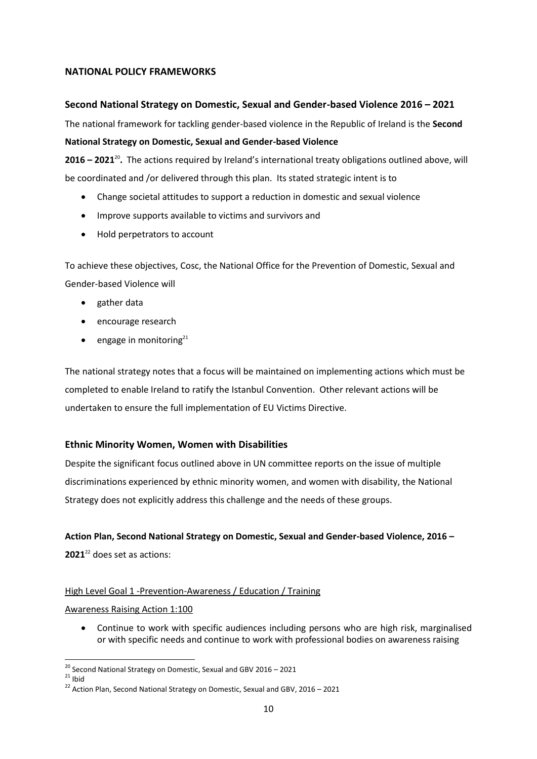### **NATIONAL POLICY FRAMEWORKS**

### **Second National Strategy on Domestic, Sexual and Gender-based Violence 2016 – 2021**

The national framework for tackling gender-based violence in the Republic of Ireland is the **Second National Strategy on Domestic, Sexual and Gender-based Violence**

**2016 – 2021**<sup>20</sup> **.** The actions required by Ireland's international treaty obligations outlined above, will be coordinated and /or delivered through this plan. Its stated strategic intent is to

- Change societal attitudes to support a reduction in domestic and sexual violence
- Improve supports available to victims and survivors and
- Hold perpetrators to account

To achieve these objectives, Cosc, the National Office for the Prevention of Domestic, Sexual and Gender-based Violence will

- gather data
- encourage research
- **e** engage in monitoring<sup>21</sup>

The national strategy notes that a focus will be maintained on implementing actions which must be completed to enable Ireland to ratify the Istanbul Convention. Other relevant actions will be undertaken to ensure the full implementation of EU Victims Directive.

### **Ethnic Minority Women, Women with Disabilities**

Despite the significant focus outlined above in UN committee reports on the issue of multiple discriminations experienced by ethnic minority women, and women with disability, the National Strategy does not explicitly address this challenge and the needs of these groups.

### **Action Plan, Second National Strategy on Domestic, Sexual and Gender-based Violence, 2016 –**

**2021**<sup>22</sup> does set as actions:

### High Level Goal 1 -Prevention-Awareness / Education / Training

#### Awareness Raising Action 1:100

 Continue to work with specific audiences including persons who are high risk, marginalised or with specific needs and continue to work with professional bodies on awareness raising

 $^{20}$  Second National Strategy on Domestic, Sexual and GBV 2016 – 2021

 $^{21}$  Ibid

 $^{22}$  Action Plan, Second National Strategy on Domestic, Sexual and GBV, 2016 – 2021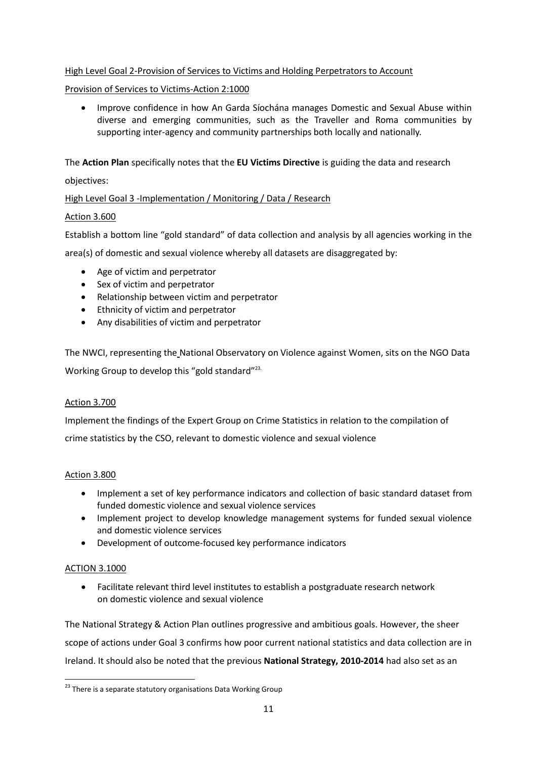### High Level Goal 2-Provision of Services to Victims and Holding Perpetrators to Account

### Provision of Services to Victims-Action 2:1000

 Improve confidence in how An Garda Síochána manages Domestic and Sexual Abuse within diverse and emerging communities, such as the Traveller and Roma communities by supporting inter-agency and community partnerships both locally and nationally.

The **Action Plan** specifically notes that the **EU Victims Directive** is guiding the data and research

### objectives:

### High Level Goal 3 -Implementation / Monitoring / Data / Research

### Action 3.600

Establish a bottom line "gold standard" of data collection and analysis by all agencies working in the

area(s) of domestic and sexual violence whereby all datasets are disaggregated by:

- Age of victim and perpetrator
- Sex of victim and perpetrator
- Relationship between victim and perpetrator
- Ethnicity of victim and perpetrator
- Any disabilities of victim and perpetrator

The NWCI, representing the National Observatory on Violence against Women, sits on the NGO Data Working Group to develop this "gold standard"<sup>23.</sup>

### Action 3.700

Implement the findings of the Expert Group on Crime Statistics in relation to the compilation of crime statistics by the CSO, relevant to domestic violence and sexual violence

### Action 3.800

- Implement a set of key performance indicators and collection of basic standard dataset from funded domestic violence and sexual violence services
- Implement project to develop knowledge management systems for funded sexual violence and domestic violence services
- Development of outcome-focused key performance indicators

### ACTION 3.1000

**.** 

 Facilitate relevant third level institutes to establish a postgraduate research network on domestic violence and sexual violence

The National Strategy & Action Plan outlines progressive and ambitious goals. However, the sheer scope of actions under Goal 3 confirms how poor current national statistics and data collection are in Ireland. It should also be noted that the previous **National Strategy, 2010-2014** had also set as an

 $23$  There is a separate statutory organisations Data Working Group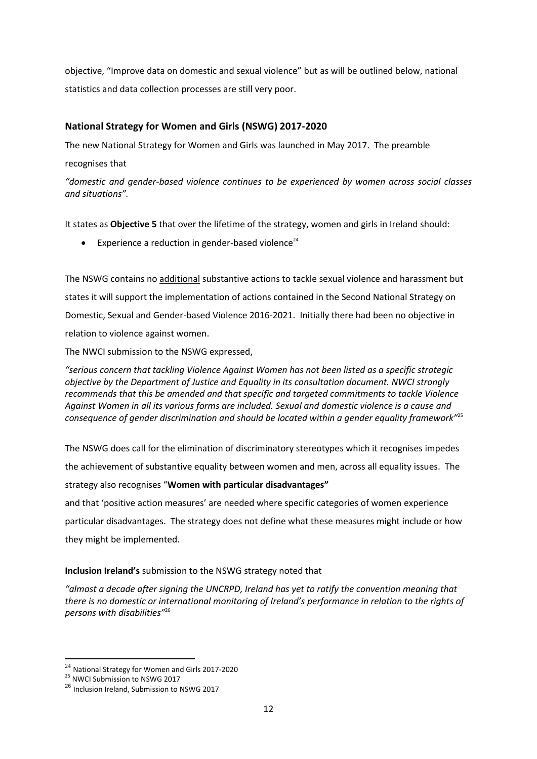objective, "Improve data on domestic and sexual violence" but as will be outlined below, national statistics and data collection processes are still very poor.

### **National Strategy for Women and Girls (NSWG) 2017-2020**

The new National Strategy for Women and Girls was launched in May 2017. The preamble

recognises that

*"domestic and gender-based violence continues to be experienced by women across social classes and situations".* 

It states as **Objective 5** that over the lifetime of the strategy, women and girls in Ireland should:

Experience a reduction in gender-based violence $24$ 

The NSWG contains no additional substantive actions to tackle sexual violence and harassment but states it will support the implementation of actions contained in the Second National Strategy on Domestic, Sexual and Gender-based Violence 2016-2021. Initially there had been no objective in relation to violence against women.

The NWCI submission to the NSWG expressed,

*"serious concern that tackling Violence Against Women has not been listed as a specific strategic objective by the Department of Justice and Equality in its consultation document. NWCI strongly recommends that this be amended and that specific and targeted commitments to tackle Violence Against Women in all its various forms are included. Sexual and domestic violence is a cause and consequence of gender discrimination and should be located within a gender equality framework"*<sup>25</sup>

The NSWG does call for the elimination of discriminatory stereotypes which it recognises impedes the achievement of substantive equality between women and men, across all equality issues. The strategy also recognises "**Women with particular disadvantages"** and that 'positive action measures' are needed where specific categories of women experience

particular disadvantages. The strategy does not define what these measures might include or how they might be implemented.

### **Inclusion Ireland's** submission to the NSWG strategy noted that

*"almost a decade after signing the UNCRPD, Ireland has yet to ratify the convention meaning that there is no domestic or international monitoring of Ireland's performance in relation to the rights of persons with disabilities"*<sup>26</sup>

 $\overline{\phantom{a}}$  $^{24}$  National Strategy for Women and Girls 2017-2020

<sup>&</sup>lt;sup>25</sup> NWCI Submission to NSWG 2017

<sup>26</sup> Inclusion Ireland, Submission to NSWG 2017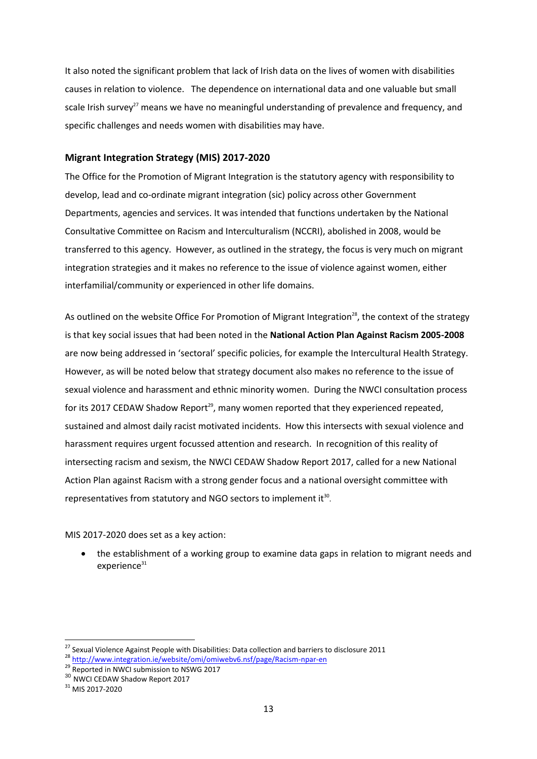It also noted the significant problem that lack of Irish data on the lives of women with disabilities causes in relation to violence. The dependence on international data and one valuable but small scale Irish survey<sup>27</sup> means we have no meaningful understanding of prevalence and frequency, and specific challenges and needs women with disabilities may have.

#### **Migrant Integration Strategy (MIS) 2017-2020**

The Office for the Promotion of Migrant Integration is the statutory agency with responsibility to develop, lead and co-ordinate migrant integration (sic) policy across other Government Departments, agencies and services. It was intended that functions undertaken by the National Consultative Committee on Racism and Interculturalism (NCCRI), abolished in 2008, would be transferred to this agency. However, as outlined in the strategy, the focus is very much on migrant integration strategies and it makes no reference to the issue of violence against women, either interfamilial/community or experienced in other life domains.

As outlined on the website Office For Promotion of Migrant Integration<sup>28</sup>, the context of the strategy is that key social issues that had been noted in the **National Action Plan Against Racism 2005-2008** are now being addressed in 'sectoral' specific policies, for example the Intercultural Health Strategy. However, as will be noted below that strategy document also makes no reference to the issue of sexual violence and harassment and ethnic minority women. During the NWCI consultation process for its 2017 CEDAW Shadow Report<sup>29</sup>, many women reported that they experienced repeated, sustained and almost daily racist motivated incidents. How this intersects with sexual violence and harassment requires urgent focussed attention and research. In recognition of this reality of intersecting racism and sexism, the NWCI CEDAW Shadow Report 2017, called for a new National Action Plan against Racism with a strong gender focus and a national oversight committee with representatives from statutory and NGO sectors to implement it $30$ .

MIS 2017-2020 does set as a key action:

 the establishment of a working group to examine data gaps in relation to migrant needs and  $experience<sup>31</sup>$ 

<sup>&</sup>lt;sup>27</sup> Sexual Violence Against People with Disabilities: Data collection and barriers to disclosure 2011

<sup>28</sup> <http://www.integration.ie/website/omi/omiwebv6.nsf/page/Racism-npar-en>

<sup>&</sup>lt;sup>29</sup> Reported in NWCI submission to NSWG 2017

<sup>&</sup>lt;sup>30</sup> NWCI CEDAW Shadow Report 2017

<sup>31</sup> MIS 2017-2020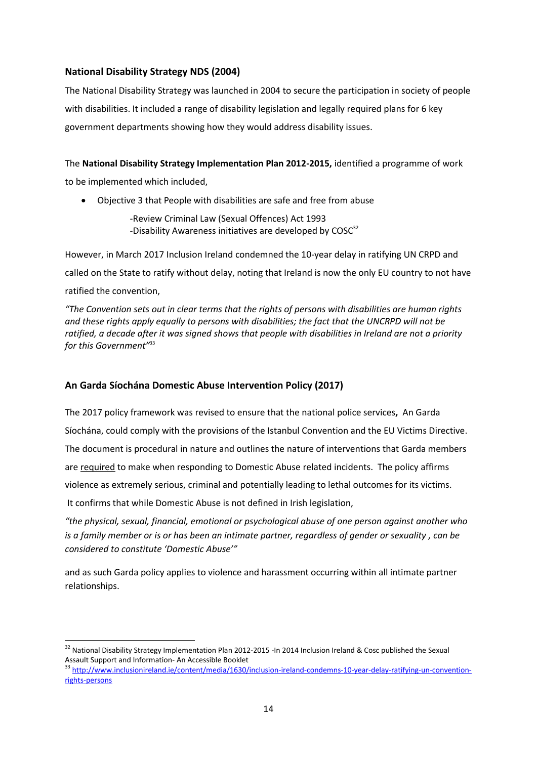### **National Disability Strategy NDS (2004)**

The National Disability Strategy was launched in 2004 to secure the participation in society of people with disabilities. It included a range of disability legislation and legally required plans for 6 key government departments showing how they would address disability issues.

The **National Disability Strategy Implementation Plan 2012-2015,** identified a programme of work to be implemented which included,

Objective 3 that People with disabilities are safe and free from abuse

-Review Criminal Law (Sexual Offences) Act 1993 -Disability Awareness initiatives are developed by  $COSC<sup>32</sup>$ 

However, in March 2017 Inclusion Ireland condemned the 10-year delay in ratifying UN CRPD and called on the State to ratify without delay, noting that Ireland is now the only EU country to not have ratified the convention,

*"The Convention sets out in clear terms that the rights of persons with disabilities are human rights and these rights apply equally to persons with disabilities; the fact that the UNCRPD will not be ratified, a decade after it was signed shows that people with disabilities in Ireland are not a priority for this Government"*<sup>33</sup>

### **An Garda Síochána Domestic Abuse Intervention Policy (2017)**

The 2017 policy framework was revised to ensure that the national police services**,** An Garda Síochána, could comply with the provisions of the Istanbul Convention and the EU Victims Directive. The document is procedural in nature and outlines the nature of interventions that Garda members are required to make when responding to Domestic Abuse related incidents. The policy affirms violence as extremely serious, criminal and potentially leading to lethal outcomes for its victims. It confirms that while Domestic Abuse is not defined in Irish legislation,

*"the physical, sexual, financial, emotional or psychological abuse of one person against another who is a family member or is or has been an intimate partner, regardless of gender or sexuality , can be considered to constitute 'Domestic Abuse'"*

and as such Garda policy applies to violence and harassment occurring within all intimate partner relationships.

<sup>1</sup> <sup>32</sup> National Disability Strategy Implementation Plan 2012-2015 -In 2014 Inclusion Ireland & Cosc published the Sexual Assault Support and Information- An Accessible Booklet

<sup>33</sup> [http://www.inclusionireland.ie/content/media/1630/inclusion-ireland-condemns-10-year-delay-ratifying-un-convention](http://www.inclusionireland.ie/content/media/1630/inclusion-ireland-condemns-10-year-delay-ratifying-un-convention-rights-persons)[rights-persons](http://www.inclusionireland.ie/content/media/1630/inclusion-ireland-condemns-10-year-delay-ratifying-un-convention-rights-persons)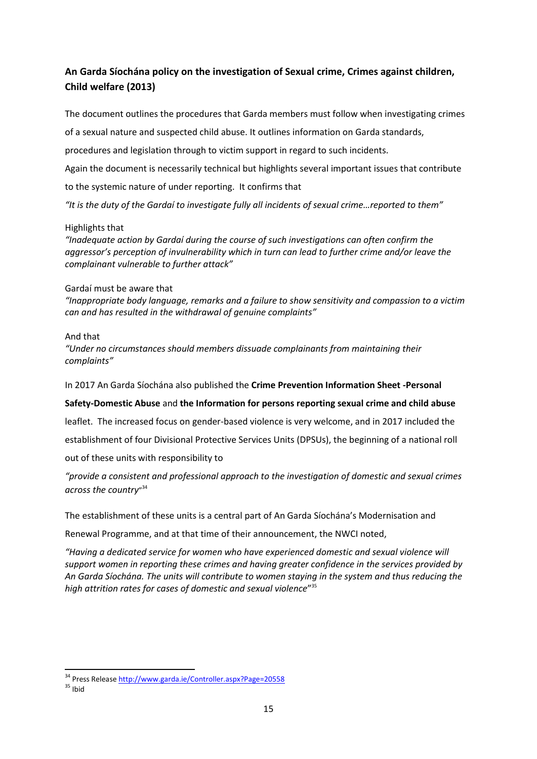# **An Garda Síochána policy on the investigation of Sexual crime, Crimes against children, Child welfare (2013)**

The document outlines the procedures that Garda members must follow when investigating crimes

of a sexual nature and suspected child abuse. It outlines information on Garda standards,

procedures and legislation through to victim support in regard to such incidents.

Again the document is necessarily technical but highlights several important issues that contribute

to the systemic nature of under reporting. It confirms that

*"It is the duty of the Gardaí to investigate fully all incidents of sexual crime…reported to them"*

### Highlights that

*"Inadequate action by Gardaí during the course of such investigations can often confirm the aggressor's perception of invulnerability which in turn can lead to further crime and/or leave the complainant vulnerable to further attack"*

### Gardaí must be aware that

*"Inappropriate body language, remarks and a failure to show sensitivity and compassion to a victim can and has resulted in the withdrawal of genuine complaints"*

### And that

*"Under no circumstances should members dissuade complainants from maintaining their complaints"*

In 2017 An Garda Síochána also published the **Crime Prevention Information Sheet -Personal** 

### **Safety-Domestic Abuse** and **the Information for persons reporting sexual crime and child abuse**

leaflet. The increased focus on gender-based violence is very welcome, and in 2017 included the establishment of four Divisional Protective Services Units (DPSUs), the beginning of a national roll out of these units with responsibility to

*"provide a consistent and professional approach to the investigation of domestic and sexual crimes across the country*" 34

The establishment of these units is a central part of An Garda Síochána's Modernisation and

Renewal Programme, and at that time of their announcement, the NWCI noted,

*"Having a dedicated service for women who have experienced domestic and sexual violence will support women in reporting these crimes and having greater confidence in the services provided by An Garda Síochána. The units will contribute to women staying in the system and thus reducing the high attrition rates for cases of domestic and sexual violence*" 35

<sup>34</sup> Press Releas[e http://www.garda.ie/Controller.aspx?Page=20558](http://www.garda.ie/Controller.aspx?Page=20558)

 $35$  Ibid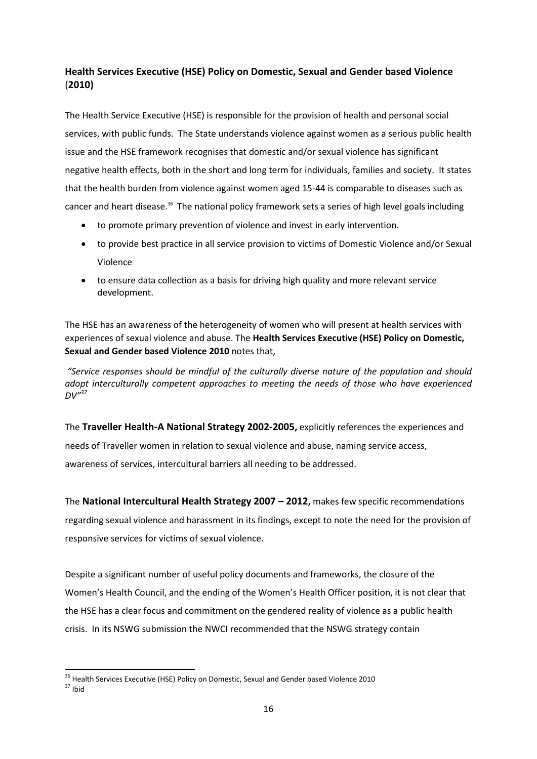# **Health Services Executive (HSE) Policy on Domestic, Sexual and Gender based Violence** (**2010)**

The Health Service Executive (HSE) is responsible for the provision of health and personal social services, with public funds. The State understands violence against women as a serious public health issue and the HSE framework recognises that domestic and/or sexual violence has significant negative health effects, both in the short and long term for individuals, families and society. It states that the health burden from violence against women aged 15-44 is comparable to diseases such as cancer and heart disease.<sup>36</sup> The national policy framework sets a series of high level goals including

- to promote primary prevention of violence and invest in early intervention.
- to provide best practice in all service provision to victims of Domestic Violence and/or Sexual Violence
- to ensure data collection as a basis for driving high quality and more relevant service development.

The HSE has an awareness of the heterogeneity of women who will present at health services with experiences of sexual violence and abuse. The **Health Services Executive (HSE) Policy on Domestic, Sexual and Gender based Violence 2010** notes that,

*"Service responses should be mindful of the culturally diverse nature of the population and should adopt interculturally competent approaches to meeting the needs of those who have experienced*   $DV^{\prime 37}$ 

The **Traveller Health-A National Strategy 2002-2005,** explicitly references the experiences and needs of Traveller women in relation to sexual violence and abuse, naming service access, awareness of services, intercultural barriers all needing to be addressed.

The **National Intercultural Health Strategy 2007 – 2012,** makes few specific recommendations regarding sexual violence and harassment in its findings, except to note the need for the provision of responsive services for victims of sexual violence.

Despite a significant number of useful policy documents and frameworks, the closure of the Women's Health Council, and the ending of the Women's Health Officer position, it is not clear that the HSE has a clear focus and commitment on the gendered reality of violence as a public health crisis. In its NSWG submission the NWCI recommended that the NSWG strategy contain

**<sup>.</sup>** <sup>36</sup> Health Services Executive (HSE) Policy on Domestic, Sexual and Gender based Violence 2010

<sup>37</sup> Ibid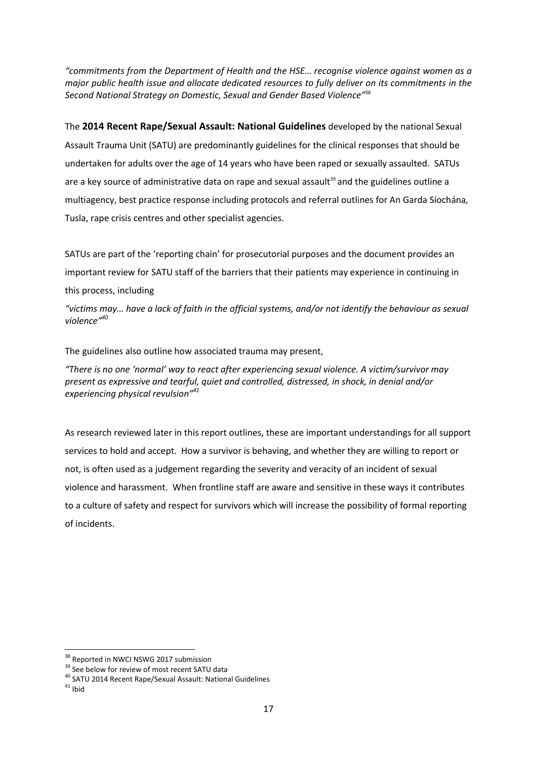*"commitments from the Department of Health and the HSE… recognise violence against women as a major public health issue and allocate dedicated resources to fully deliver on its commitments in the Second National Strategy on Domestic, Sexual and Gender Based Violence"*<sup>38</sup>

The **2014 Recent Rape/Sexual Assault: National Guidelines** developed by the national Sexual Assault Trauma Unit (SATU) are predominantly guidelines for the clinical responses that should be undertaken for adults over the age of 14 years who have been raped or sexually assaulted. SATUs are a key source of administrative data on rape and sexual assault $39$  and the guidelines outline a multiagency, best practice response including protocols and referral outlines for An Garda Síochána*,* Tusla, rape crisis centres and other specialist agencies.

SATUs are part of the 'reporting chain' for prosecutorial purposes and the document provides an important review for SATU staff of the barriers that their patients may experience in continuing in this process, including

*"victims may… have a lack of faith in the official systems, and/or not identify the behaviour as sexual violence"<sup>40</sup>*

The guidelines also outline how associated trauma may present,

*"There is no one 'normal' way to react after experiencing sexual violence. A victim/survivor may present as expressive and tearful, quiet and controlled, distressed, in shock, in denial and/or experiencing physical revulsion"<sup>41</sup>*

As research reviewed later in this report outlines, these are important understandings for all support services to hold and accept. How a survivor is behaving, and whether they are willing to report or not, is often used as a judgement regarding the severity and veracity of an incident of sexual violence and harassment. When frontline staff are aware and sensitive in these ways it contributes to a culture of safety and respect for survivors which will increase the possibility of formal reporting of incidents.

<sup>&</sup>lt;sup>38</sup> Reported in NWCI NSWG 2017 submission

<sup>&</sup>lt;sup>39</sup> See below for review of most recent SATU data

<sup>40</sup> SATU 2014 Recent Rape/Sexual Assault: National Guidelines

 $41$  Ibid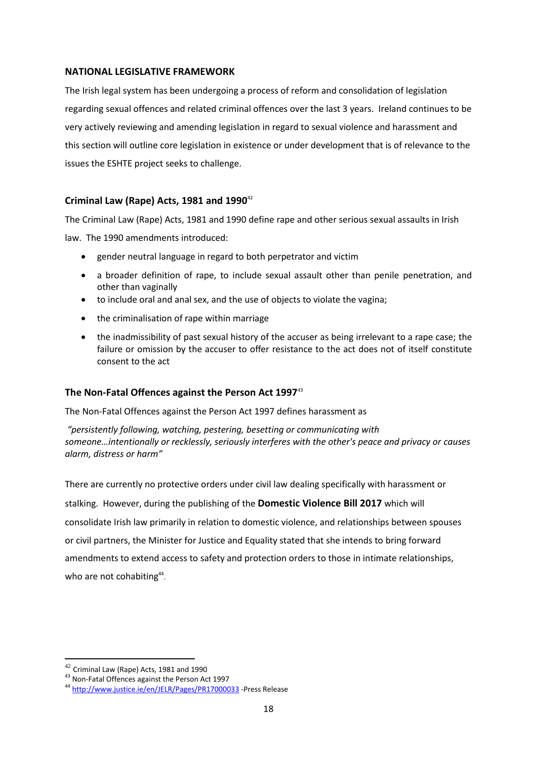### **NATIONAL LEGISLATIVE FRAMEWORK**

The Irish legal system has been undergoing a process of reform and consolidation of legislation regarding sexual offences and related criminal offences over the last 3 years. Ireland continues to be very actively reviewing and amending legislation in regard to sexual violence and harassment and this section will outline core legislation in existence or under development that is of relevance to the issues the ESHTE project seeks to challenge.

### **Criminal Law (Rape) Acts, 1981 and 1990**<sup>42</sup>

The Criminal Law (Rape) Acts, 1981 and 1990 define rape and other serious sexual assaults in Irish law. The 1990 amendments introduced:

- gender neutral language in regard to both perpetrator and victim
- a broader definition of rape, to include sexual assault other than penile penetration, and other than vaginally
- to include oral and anal sex, and the use of objects to violate the vagina;
- the criminalisation of rape within marriage
- the inadmissibility of past sexual history of the accuser as being irrelevant to a rape case; the failure or omission by the accuser to offer resistance to the act does not of itself constitute consent to the act

### **The Non-Fatal Offences against the Person Act 1997**<sup>43</sup>

The Non-Fatal Offences against the Person Act 1997 defines harassment as

*"persistently following, watching, pestering, besetting or communicating with someone…intentionally or recklessly, seriously interferes with the other's peace and privacy or causes alarm, distress or harm"*

There are currently no protective orders under civil law dealing specifically with harassment or stalking. However, during the publishing of the **Domestic Violence Bill 2017** which will consolidate Irish law primarily in relation to domestic violence, and relationships between spouses or civil partners, the Minister for Justice and Equality stated that she intends to bring forward amendments to extend access to safety and protection orders to those in intimate relationships, who are not cohabiting<sup>44</sup>.

 $\overline{\phantom{a}}$  $^{42}$  Criminal Law (Rape) Acts, 1981 and 1990

<sup>43</sup> Non-Fatal Offences against the Person Act 1997

<sup>44</sup> <http://www.justice.ie/en/JELR/Pages/PR17000033> -Press Release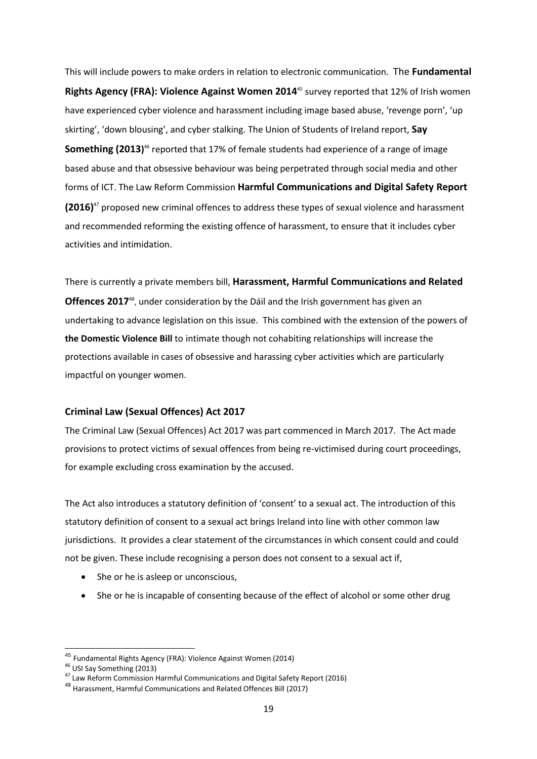This will include powers to make orders in relation to electronic communication. The **Fundamental Rights Agency (FRA): Violence Against Women 2014**<sup>45</sup> survey reported that 12% of Irish women have experienced cyber violence and harassment including image based abuse, 'revenge porn', 'up skirting', 'down blousing', and cyber stalking. The Union of Students of Ireland report, **Say Something (2013)**<sup>46</sup> reported that 17% of female students had experience of a range of image based abuse and that obsessive behaviour was being perpetrated through social media and other forms of ICT. The Law Reform Commission **[Harmful Communications and Digital Safety](http://www.lawreform.ie/_fileupload/Reports/Full%20Colour%20Cover%20Report%20on%20Harmful%20Communications%20and%20Digital%20Safety.pdf) Report (2016)** <sup>47</sup> proposed new criminal offences to address these types of sexual violence and harassment and recommended reforming the existing offence of harassment, to ensure that it includes cyber activities and intimidation.

There is currently a private members bill, **Harassment, Harmful Communications and Related**  Offences 2017<sup>48</sup>, under consideration by the Dáil and the Irish government has given an undertaking to advance legislation on this issue. This combined with the extension of the powers of **the Domestic Violence Bill** to intimate though not cohabiting relationships will increase the protections available in cases of obsessive and harassing cyber activities which are particularly impactful on younger women.

### **Criminal Law (Sexual Offences) Act 2017**

The Criminal Law (Sexual Offences) Act 2017 was part commenced in March 2017. The Act made provisions to protect victims of sexual offences from being re-victimised during court proceedings, for example excluding cross examination by the accused.

The Act also introduces a statutory definition of 'consent' to a sexual act. The introduction of this statutory definition of consent to a sexual act brings Ireland into line with other common law jurisdictions. It provides a clear statement of the circumstances in which consent could and could not be given. These include recognising a person does not consent to a sexual act if,

- She or he is asleep or unconscious,
- She or he is incapable of consenting because of the effect of alcohol or some other drug

<sup>&</sup>lt;sup>45</sup> Fundamental Rights Agency (FRA): Violence Against Women (2014)

<sup>46</sup> USI Say Something (2013)

<sup>47</sup> Law Reform Commissio[n Harmful Communications and Digital Safety](http://www.lawreform.ie/_fileupload/Reports/Full%20Colour%20Cover%20Report%20on%20Harmful%20Communications%20and%20Digital%20Safety.pdf) Report (2016)

<sup>48</sup> Harassment, Harmful Communications and Related Offences Bill (2017)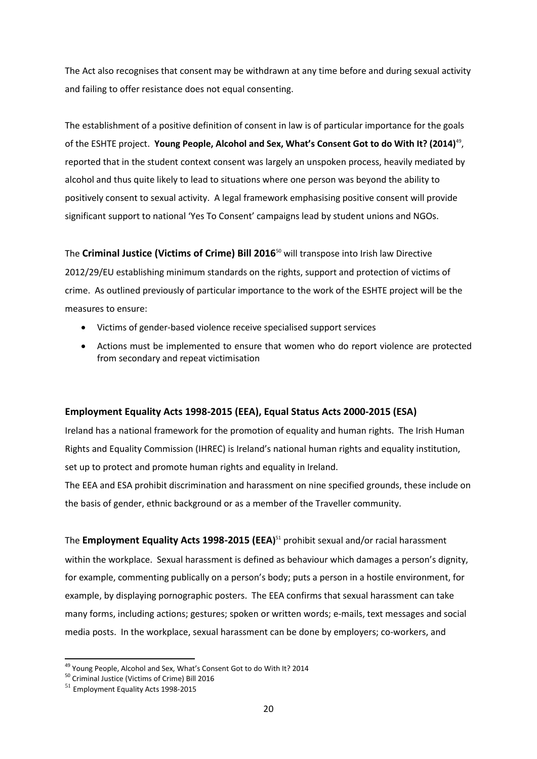The Act also recognises that consent may be withdrawn at any time before and during sexual activity and failing to offer resistance does not equal consenting.

The establishment of a positive definition of consent in law is of particular importance for the goals of the ESHTE project. Young People, Alcohol and Sex, What's Consent Got to do With It? (2014)<sup>49</sup>, reported that in the student context consent was largely an unspoken process, heavily mediated by alcohol and thus quite likely to lead to situations where one person was beyond the ability to positively consent to sexual activity. A legal framework emphasising positive consent will provide significant support to national 'Yes To Consent' campaigns lead by student unions and NGOs.

The **Criminal Justice (Victims of Crime) Bill 2016**<sup>50</sup> will transpose into Irish law Directive 2012/29/EU establishing minimum standards on the rights, support and protection of victims of crime. As outlined previously of particular importance to the work of the ESHTE project will be the measures to ensure:

- Victims of gender-based violence receive specialised support services
- Actions must be implemented to ensure that women who do report violence are protected from secondary and repeat victimisation

### **Employment Equality Acts 1998-2015 (EEA), Equal Status Acts 2000-2015 (ESA)**

Ireland has a national framework for the promotion of equality and human rights. The Irish Human Rights and Equality Commission (IHREC) is Ireland's national human rights and equality institution, set up to protect and promote human rights and equality in Ireland.

The EEA and ESA prohibit discrimination and harassment on nine specified grounds, these include on the basis of gender, ethnic background or as a member of the Traveller community.

The **Employment Equality Acts 1998-2015 (EEA)** <sup>51</sup> prohibit sexual and/or racial harassment within the workplace. Sexual harassment is defined as behaviour which damages a person's dignity, for example, commenting publically on a person's body; puts a person in a hostile environment, for example, by displaying pornographic posters. The EEA confirms that sexual harassment can take many forms, including actions; gestures; spoken or written words; e-mails, text messages and social media posts. In the workplace, sexual harassment can be done by employers; co-workers, and

 $\overline{\phantom{a}}$ 

<sup>&</sup>lt;sup>49</sup> Young People, Alcohol and Sex, What's Consent Got to do With It? 2014

<sup>50</sup> Criminal Justice (Victims of Crime) Bill 2016

<sup>51</sup> Employment Equality Acts 1998-2015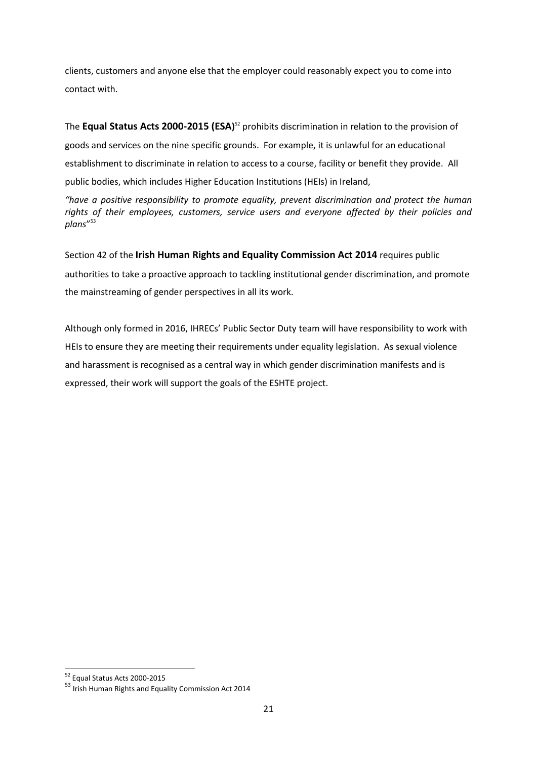clients, customers and anyone else that the employer could reasonably expect you to come into contact with.

The **Equal Status Acts 2000-2015 (ESA)** <sup>52</sup> prohibits discrimination in relation to the provision of goods and services on the nine specific grounds. For example, it is unlawful for an educational establishment to discriminate in relation to access to a course, facility or benefit they provide. All public bodies, which includes Higher Education Institutions (HEIs) in Ireland,

*"have a positive responsibility to promote equality, prevent discrimination and protect the human rights of their employees, customers, service users and everyone affected by their policies and plans*" 53

Section 42 of the **Irish Human Rights and Equality Commission Act 2014** requires public authorities to take a proactive approach to tackling institutional gender discrimination, and promote the mainstreaming of gender perspectives in all its work.

Although only formed in 2016, IHRECs' Public Sector Duty team will have responsibility to work with HEIs to ensure they are meeting their requirements under equality legislation. As sexual violence and harassment is recognised as a central way in which gender discrimination manifests and is expressed, their work will support the goals of the ESHTE project.

**<sup>.</sup>** <sup>52</sup> Equal Status Acts 2000-2015

<sup>53</sup> Irish Human Rights and Equality Commission Act 2014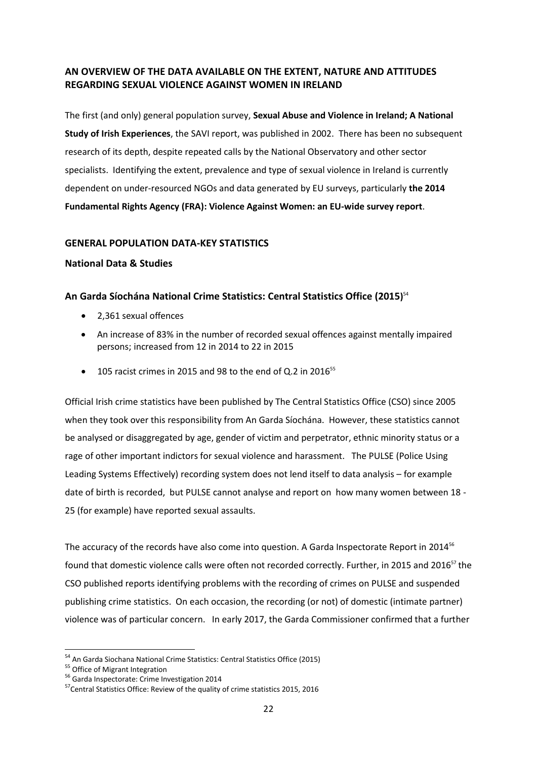## **AN OVERVIEW OF THE DATA AVAILABLE ON THE EXTENT, NATURE AND ATTITUDES REGARDING SEXUAL VIOLENCE AGAINST WOMEN IN IRELAND**

The first (and only) general population survey, **Sexual Abuse and Violence in Ireland; A National Study of Irish Experiences**, the SAVI report, was published in 2002. There has been no subsequent research of its depth, despite repeated calls by the National Observatory and other sector specialists. Identifying the extent, prevalence and type of sexual violence in Ireland is currently dependent on under-resourced NGOs and data generated by EU surveys, particularly **the 2014 Fundamental Rights Agency (FRA): Violence Against Women: an EU-wide survey report**.

### **GENERAL POPULATION DATA-KEY STATISTICS**

### **National Data & Studies**

## **An Garda Síochána National Crime Statistics: Central Statistics Office (2015)** 54

- 2,361 sexual offences
- An increase of 83% in the number of [recorded sexual offences against mentally impaired](http://www.cso.ie/en/releasesandpublications/er/rc/recordedcrimequarter42015/)  [persons;](http://www.cso.ie/en/releasesandpublications/er/rc/recordedcrimequarter42015/) increased from 12 in 2014 to 22 in 2015
- $\bullet$  105 racist crimes in 2015 and 98 to the end of Q.2 in 2016<sup>55</sup>

Official Irish crime statistics have been published by The Central Statistics Office (CSO) since 2005 when they took over this responsibility from An Garda Síochána. However, these statistics cannot be analysed or disaggregated by age, gender of victim and perpetrator, ethnic minority status or a rage of other important indictors for sexual violence and harassment. The PULSE (Police Using Leading Systems Effectively) recording system does not lend itself to data analysis – for example date of birth is recorded, but PULSE cannot analyse and report on how many women between 18 - 25 (for example) have reported sexual assaults.

The accuracy of the records have also come into question. A Garda Inspectorate Report in 2014<sup>56</sup> found that domestic violence calls were often not recorded correctly. Further, in 2015 and 2016<sup>57</sup> the CSO published reports identifying problems with the recording of crimes on PULSE and suspended publishing crime statistics. On each occasion, the recording (or not) of domestic (intimate partner) violence was of particular concern. In early 2017, the Garda Commissioner confirmed that a further

<sup>&</sup>lt;sup>54</sup> An Garda Siochana National Crime Statistics: Central Statistics Office (2015)

<sup>55</sup> Office of Migrant Integration

<sup>56</sup> Garda Inspectorate: Crime Investigation 2014

<sup>&</sup>lt;sup>57</sup> Central Statistics Office: Review of the quality of crime statistics 2015, 2016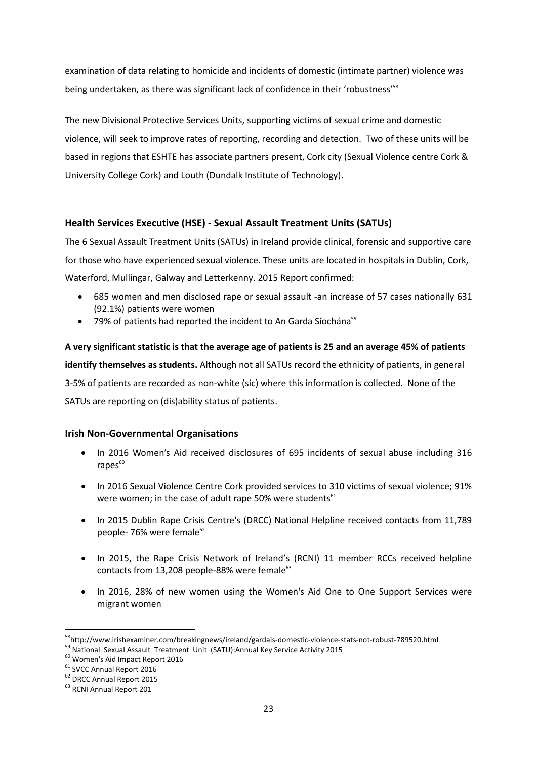examination of data relating to homicide and incidents of domestic (intimate partner) violence was being undertaken, as there was significant lack of confidence in their 'robustness'<sup>58</sup>

The new Divisional Protective Services Units, supporting victims of sexual crime and domestic violence, will seek to improve rates of reporting, recording and detection. Two of these units will be based in regions that ESHTE has associate partners present, Cork city (Sexual Violence centre Cork & University College Cork) and Louth (Dundalk Institute of Technology).

### **Health Services Executive (HSE) - Sexual Assault Treatment Units (SATUs)**

The 6 Sexual Assault Treatment Units (SATUs) in Ireland provide clinical, forensic and supportive care for those who have experienced sexual violence. These units are located in hospitals in Dublin, Cork, Waterford, Mullingar, Galway and Letterkenny. 2015 Report confirmed:

- 685 women and men disclosed rape or sexual assault -an increase of 57 cases nationally 631 (92.1%) patients were women
- $\bullet$  79% of patients had reported the incident to An Garda Síochána<sup>59</sup>

**A very significant statistic is that the average age of patients is 25 and an average 45% of patients identify themselves as students.** Although not all SATUs record the ethnicity of patients, in general 3-5% of patients are recorded as non-white (sic) where this information is collected. None of the SATUs are reporting on (dis)ability status of patients.

### **Irish Non-Governmental Organisations**

- In 2016 Women's Aid received disclosures of 695 incidents of sexual abuse including 316  $r$ apes $60$
- In 2016 Sexual Violence Centre Cork provided services to 310 victims of sexual violence; 91% were women; in the case of adult rape 50% were students $61$
- In 2015 Dublin Rape Crisis Centre's (DRCC) National Helpline received contacts from 11,789 people-  $76%$  were female<sup>62</sup>
- In 2015, the Rape Crisis Network of Ireland's (RCNI) 11 member RCCs received helpline contacts from 13,208 people-88% were female<sup>63</sup>
- In 2016, 28% of new women using the Women's Aid One to One Support Services were migrant women

<sup>58</sup>http://www.irishexaminer.com/breakingnews/ireland/gardais-domestic-violence-stats-not-robust-789520.html

<sup>59</sup> National Sexual Assault Treatment Unit (SATU):Annual Key Service Activity 2015

<sup>60</sup> Women's Aid Impact Report 2016

<sup>&</sup>lt;sup>61</sup> SVCC Annual Report 2016

<sup>62</sup> DRCC Annual Report 2015

<sup>&</sup>lt;sup>63</sup> RCNI Annual Report 201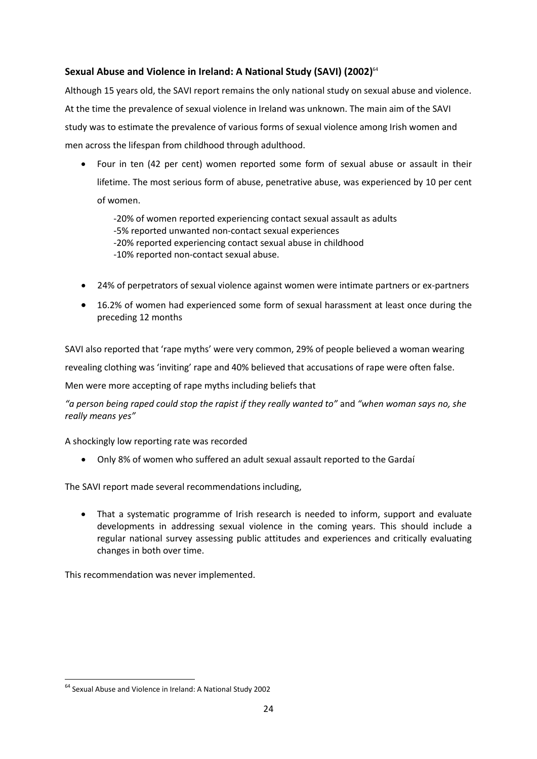# **Sexual Abuse and Violence in Ireland: A National Study (SAVI) (2002)** 64

Although 15 years old, the SAVI report remains the only national study on sexual abuse and violence. At the time the prevalence of sexual violence in Ireland was unknown. The main aim of the SAVI study was to estimate the prevalence of various forms of sexual violence among Irish women and men across the lifespan from childhood through adulthood.

 Four in ten (42 per cent) women reported some form of sexual abuse or assault in their lifetime. The most serious form of abuse, penetrative abuse, was experienced by 10 per cent of women.

-20% of women reported experiencing contact sexual assault as adults

- -5% reported unwanted non-contact sexual experiences
- -20% reported experiencing contact sexual abuse in childhood
- -10% reported non-contact sexual abuse.
- 24% of perpetrators of sexual violence against women were intimate partners or ex-partners
- 16.2% of women had experienced some form of sexual harassment at least once during the preceding 12 months

SAVI also reported that 'rape myths' were very common, 29% of people believed a woman wearing

revealing clothing was 'inviting' rape and 40% believed that accusations of rape were often false.

Men were more accepting of rape myths including beliefs that

*"a person being raped could stop the rapist if they really wanted to"* and *"when woman says no, she really means yes"*

A shockingly low reporting rate was recorded

Only 8% of women who suffered an adult sexual assault reported to the Gardaí

The SAVI report made several recommendations including,

 That a systematic programme of Irish research is needed to inform, support and evaluate developments in addressing sexual violence in the coming years. This should include a regular national survey assessing public attitudes and experiences and critically evaluating changes in both over time.

This recommendation was never implemented.

**<sup>.</sup>** <sup>64</sup> Sexual Abuse and Violence in Ireland: A National Study 2002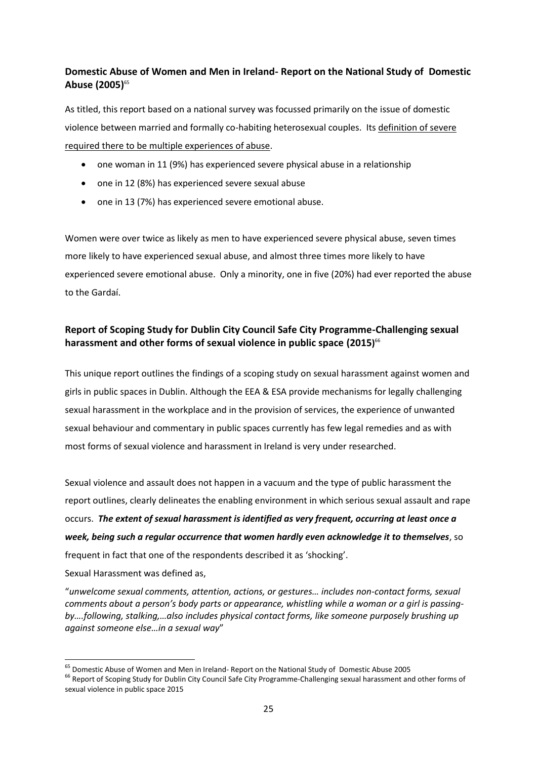# **Domestic Abuse of Women and Men in Ireland- Report on the National Study of Domestic Abuse (2005)** 65

As titled, this report based on a national survey was focussed primarily on the issue of domestic violence between married and formally co-habiting heterosexual couples. Its definition of severe required there to be multiple experiences of abuse.

- one woman in 11 (9%) has experienced severe physical abuse in a relationship
- one in 12 (8%) has experienced severe sexual abuse
- one in 13 (7%) has experienced severe emotional abuse.

Women were over twice as likely as men to have experienced severe physical abuse, seven times more likely to have experienced sexual abuse, and almost three times more likely to have experienced severe emotional abuse. Only a minority, one in five (20%) had ever reported the abuse to the Gardaí.

## **Report of Scoping Study for Dublin City Council Safe City Programme-Challenging sexual harassment and other forms of sexual violence in public space (2015)** 66

This unique report outlines the findings of a scoping study on sexual harassment against women and girls in public spaces in Dublin. Although the EEA & ESA provide mechanisms for legally challenging sexual harassment in the workplace and in the provision of services, the experience of unwanted sexual behaviour and commentary in public spaces currently has few legal remedies and as with most forms of sexual violence and harassment in Ireland is very under researched.

Sexual violence and assault does not happen in a vacuum and the type of public harassment the report outlines, clearly delineates the enabling environment in which serious sexual assault and rape occurs. *The extent of sexual harassment is identified as very frequent, occurring at least once a week, being such a regular occurrence that women hardly even acknowledge it to themselves*, so frequent in fact that one of the respondents described it as 'shocking'.

Sexual Harassment was defined as,

1

"*unwelcome sexual comments, attention, actions, or gestures… includes non-contact forms, sexual comments about a person's body parts or appearance, whistling while a woman or a girl is passingby….following, stalking,…also includes physical contact forms, like someone purposely brushing up against someone else…in a sexual way*"

<sup>&</sup>lt;sup>65</sup> Domestic Abuse of Women and Men in Ireland- Report on the National Study of Domestic Abuse 2005

<sup>&</sup>lt;sup>66</sup> Report of Scoping Study for Dublin City Council Safe City Programme-Challenging sexual harassment and other forms of sexual violence in public space 2015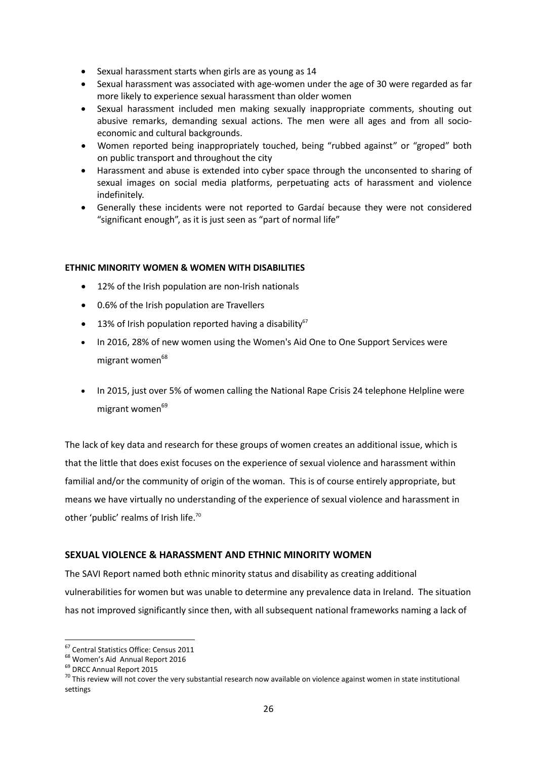- Sexual harassment starts when girls are as young as 14
- Sexual harassment was associated with age-women under the age of 30 were regarded as far more likely to experience sexual harassment than older women
- Sexual harassment included men making sexually inappropriate comments, shouting out abusive remarks, demanding sexual actions. The men were all ages and from all socioeconomic and cultural backgrounds.
- Women reported being inappropriately touched, being "rubbed against" or "groped" both on public transport and throughout the city
- Harassment and abuse is extended into cyber space through the unconsented to sharing of sexual images on social media platforms, perpetuating acts of harassment and violence indefinitely.
- Generally these incidents were not reported to Gardaí because they were not considered "significant enough", as it is just seen as "part of normal life"

### **ETHNIC MINORITY WOMEN & WOMEN WITH DISABILITIES**

- 12% of the Irish population are non-Irish nationals
- 0.6% of the Irish population are Travellers
- $\bullet$  13% of Irish population reported having a disability<sup>67</sup>
- In 2016, 28% of new women using the Women's Aid One to One Support Services were migrant women<sup>68</sup>
- In 2015, just over 5% of women calling the National Rape Crisis 24 telephone Helpline were migrant women<sup>69</sup>

The lack of key data and research for these groups of women creates an additional issue, which is that the little that does exist focuses on the experience of sexual violence and harassment within familial and/or the community of origin of the woman. This is of course entirely appropriate, but means we have virtually no understanding of the experience of sexual violence and harassment in other 'public' realms of Irish life.<sup>70</sup>

### **SEXUAL VIOLENCE & HARASSMENT AND ETHNIC MINORITY WOMEN**

The SAVI Report named both ethnic minority status and disability as creating additional vulnerabilities for women but was unable to determine any prevalence data in Ireland. The situation has not improved significantly since then, with all subsequent national frameworks naming a lack of

**<sup>.</sup>** <sup>67</sup> Central Statistics Office: Census 2011

<sup>68</sup> Women's Aid Annual Report 2016

<sup>&</sup>lt;sup>69</sup> DRCC Annual Report 2015

 $70$  This review will not cover the very substantial research now available on violence against women in state institutional settings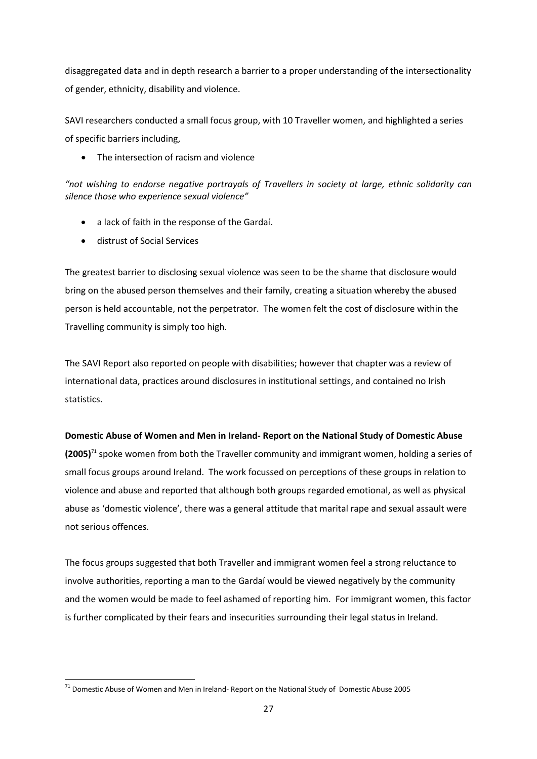disaggregated data and in depth research a barrier to a proper understanding of the intersectionality of gender, ethnicity, disability and violence.

SAVI researchers conducted a small focus group, with 10 Traveller women, and highlighted a series of specific barriers including,

• The intersection of racism and violence

*"not wishing to endorse negative portrayals of Travellers in society at large, ethnic solidarity can silence those who experience sexual violence"*

- a lack of faith in the response of the Gardaí.
- distrust of Social Services

**.** 

The greatest barrier to disclosing sexual violence was seen to be the shame that disclosure would bring on the abused person themselves and their family, creating a situation whereby the abused person is held accountable, not the perpetrator. The women felt the cost of disclosure within the Travelling community is simply too high.

The SAVI Report also reported on people with disabilities; however that chapter was a review of international data, practices around disclosures in institutional settings, and contained no Irish statistics.

### **Domestic Abuse of Women and Men in Ireland- Report on the National Study of Domestic Abuse**

**(2005)**<sup>71</sup> spoke women from both the Traveller community and immigrant women, holding a series of small focus groups around Ireland. The work focussed on perceptions of these groups in relation to violence and abuse and reported that although both groups regarded emotional, as well as physical abuse as 'domestic violence', there was a general attitude that marital rape and sexual assault were not serious offences.

The focus groups suggested that both Traveller and immigrant women feel a strong reluctance to involve authorities, reporting a man to the Gardaí would be viewed negatively by the community and the women would be made to feel ashamed of reporting him. For immigrant women, this factor is further complicated by their fears and insecurities surrounding their legal status in Ireland.

 $71$  Domestic Abuse of Women and Men in Ireland- Report on the National Study of Domestic Abuse 2005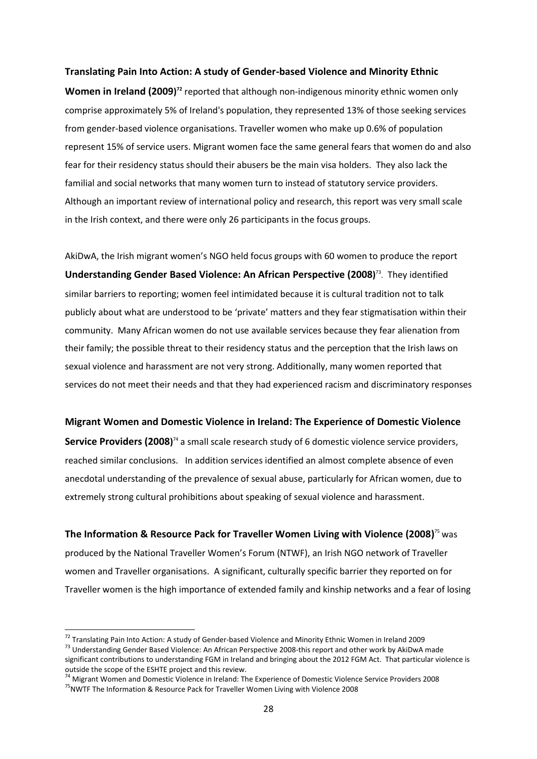#### **Translating Pain Into Action: A study of Gender-based Violence and Minority Ethnic**

Women in Ireland (2009)<sup>72</sup> reported that although non-indigenous minority ethnic women only comprise approximately 5% of Ireland's population, they represented 13% of those seeking services from gender-based violence organisations. Traveller women who make up 0.6% of population represent 15% of service users. Migrant women face the same general fears that women do and also fear for their residency status should their abusers be the main visa holders. They also lack the familial and social networks that many women turn to instead of statutory service providers. Although an important review of international policy and research, this report was very small scale in the Irish context, and there were only 26 participants in the focus groups.

AkiDwA, the Irish migrant women's NGO held focus groups with 60 women to produce the report **Understanding Gender Based Violence: An African Perspective (2008)** 73 .They identified similar barriers to reporting; women feel intimidated because it is cultural tradition not to talk publicly about what are understood to be 'private' matters and they fear stigmatisation within their community. Many African women do not use available services because they fear alienation from their family; the possible threat to their residency status and the perception that the Irish laws on sexual violence and harassment are not very strong. Additionally, many women reported that services do not meet their needs and that they had experienced racism and discriminatory responses

#### **Migrant Women and Domestic Violence in Ireland: The Experience of Domestic Violence**

Service Providers (2008)<sup>74</sup> a small scale research study of 6 domestic violence service providers, reached similar conclusions. In addition services identified an almost complete absence of even anecdotal understanding of the prevalence of sexual abuse, particularly for African women, due to extremely strong cultural prohibitions about speaking of sexual violence and harassment.

**The Information & Resource Pack for Traveller Women Living with Violence (2008)** <sup>75</sup> was produced by the National Traveller Women's Forum (NTWF), an Irish NGO network of Traveller women and Traveller organisations. A significant, culturally specific barrier they reported on for Traveller women is the high importance of extended family and kinship networks and a fear of losing

<sup>&</sup>lt;sup>72</sup> Translating Pain Into Action: A study of Gender-based Violence and Minority Ethnic Women in Ireland 2009

<sup>73</sup> Understanding Gender Based Violence: An African Perspective 2008-this report and other work by AkiDwA made significant contributions to understanding FGM in Ireland and bringing about the 2012 FGM Act. That particular violence is outside the scope of the ESHTE project and this review.

<sup>74</sup> Migrant Women and Domestic Violence in Ireland: The Experience of Domestic Violence Service Providers 2008 <sup>75</sup>NWTF The Information & Resource Pack for Traveller Women Living with Violence 2008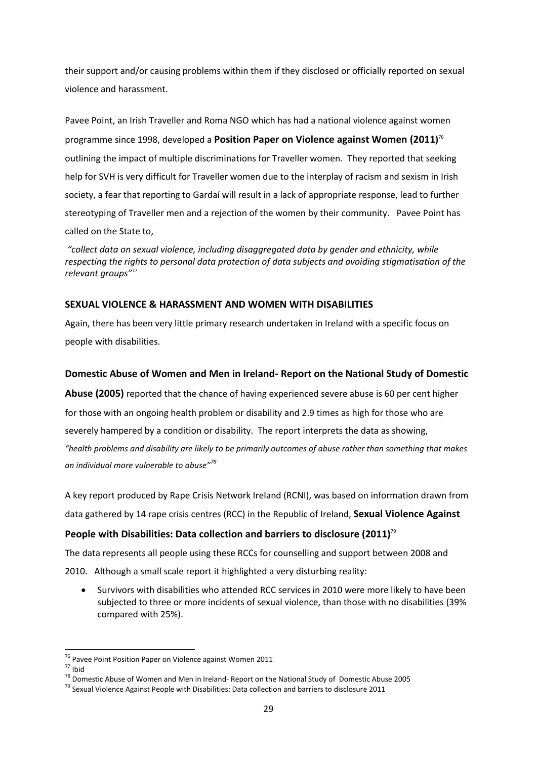their support and/or causing problems within them if they disclosed or officially reported on sexual violence and harassment.

Pavee Point, an Irish Traveller and Roma NGO which has had a national violence against women programme since 1998, developed a **Position Paper on Violence against Women (2011)** 76 outlining the impact of multiple discriminations for Traveller women. They reported that seeking help for SVH is very difficult for Traveller women due to the interplay of racism and sexism in Irish society, a fear that reporting to Gardaí will result in a lack of appropriate response, lead to further stereotyping of Traveller men and a rejection of the women by their community. Pavee Point has called on the State to,

*"collect data on sexual violence, including disaggregated data by gender and ethnicity, while respecting the rights to personal data protection of data subjects and avoiding stigmatisation of the relevant groups"* 77

### **SEXUAL VIOLENCE & HARASSMENT AND WOMEN WITH DISABILITIES**

Again, there has been very little primary research undertaken in Ireland with a specific focus on people with disabilities.

### **Domestic Abuse of Women and Men in Ireland- Report on the National Study of Domestic**

**Abuse (2005)** reported that the chance of having experienced severe abuse is 60 per cent higher for those with an ongoing health problem or disability and 2.9 times as high for those who are severely hampered by a condition or disability. The report interprets the data as showing, *"health problems and disability are likely to be primarily outcomes of abuse rather than something that makes an individual more vulnerable to abuse"<sup>78</sup>*

A key report produced by Rape Crisis Network Ireland (RCNI), was based on information drawn from data gathered by 14 rape crisis centres (RCC) in the Republic of Ireland, **Sexual Violence Against** 

### **People with Disabilities: Data collection and barriers to disclosure (2011)**<sup>79</sup>

The data represents all people using these RCCs for counselling and support between 2008 and

2010. Although a small scale report it highlighted a very disturbing reality:

 Survivors with disabilities who attended RCC services in 2010 were more likely to have been subjected to three or more incidents of sexual violence, than those with no disabilities (39% compared with 25%).

<sup>&</sup>lt;sup>76</sup> Pavee Point Position Paper on Violence against Women 2011

<sup>77</sup> Ibid

<sup>78</sup> Domestic Abuse of Women and Men in Ireland- Report on the National Study of Domestic Abuse 2005

 $79$  Sexual Violence Against People with Disabilities: Data collection and barriers to disclosure 2011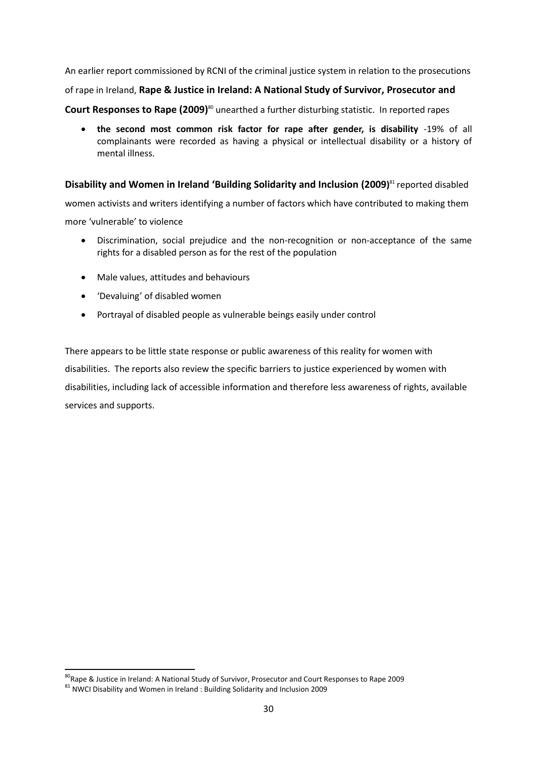An earlier report commissioned by RCNI of the criminal justice system in relation to the prosecutions of rape in Ireland, **Rape & Justice in Ireland: A National Study of Survivor, Prosecutor and Court Responses to Rape (2009)**<sup>80</sup> unearthed a further disturbing statistic. In reported rapes

 **the second most common risk factor for rape after gender, is disability** -19% of all complainants were recorded as having a physical or intellectual disability or a history of mental illness.

**Disability and Women in Ireland 'Building Solidarity and Inclusion (2009)** <sup>81</sup> reported disabled women activists and writers identifying a number of factors which have contributed to making them

more 'vulnerable' to violence

- Discrimination, social prejudice and the non-recognition or non-acceptance of the same rights for a disabled person as for the rest of the population
- Male values, attitudes and behaviours
- 'Devaluing' of disabled women
- Portrayal of disabled people as vulnerable beings easily under control

There appears to be little state response or public awareness of this reality for women with disabilities. The reports also review the specific barriers to justice experienced by women with disabilities, including lack of accessible information and therefore less awareness of rights, available services and supports.

<sup>80</sup>Rape & Justice in Ireland: A National Study of Survivor, Prosecutor and Court Responses to Rape 2009

 $81$  NWCI Disability and Women in Ireland : Building Solidarity and Inclusion 2009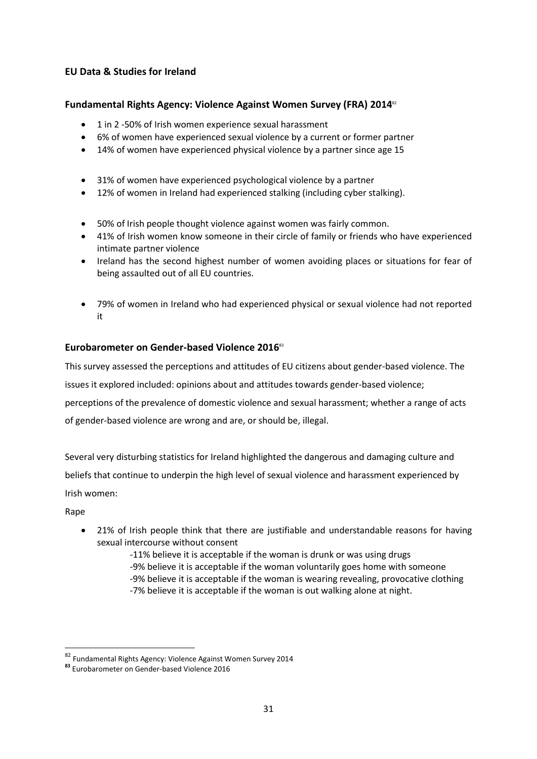### **EU Data & Studies for Ireland**

### **Fundamental Rights Agency: Violence Against Women Survey (FRA) 2014**<sup>82</sup>

- 1 in 2 -50% of Irish women experience sexual harassment
- 6% of women have experienced sexual violence by a current or former partner
- 14% of women have experienced physical violence by a partner since age 15
- 31% of women have experienced psychological violence by a partner
- 12% of women in Ireland had experienced stalking (including cyber stalking).
- 50% of Irish people thought violence against women was fairly common.
- 41% of Irish women know someone in their circle of family or friends who have experienced intimate partner violence
- Ireland has the second highest number of women avoiding places or situations for fear of being assaulted out of all EU countries.
- 79% of women in Ireland who had experienced physical or sexual violence had not reported it

### **Eurobarometer on Gender-based Violence 2016**<sup>83</sup>

This survey assessed the perceptions and attitudes of EU citizens about gender-based violence. The

issues it explored included: opinions about and attitudes towards gender-based violence;

perceptions of the prevalence of domestic violence and sexual harassment; whether a range of acts

of gender-based violence are wrong and are, or should be, illegal.

Several very disturbing statistics for Ireland highlighted the dangerous and damaging culture and beliefs that continue to underpin the high level of sexual violence and harassment experienced by Irish women:

Rape

- 21% of Irish people think that there are justifiable and understandable reasons for having sexual intercourse without consent
	- -11% believe it is acceptable if the woman is drunk or was using drugs -9% believe it is acceptable if the woman voluntarily goes home with someone -9% believe it is acceptable if the woman is wearing revealing, provocative clothing -7% believe it is acceptable if the woman is out walking alone at night.

<sup>&</sup>lt;sup>82</sup> Fundamental Rights Agency: Violence Against Women Survey 2014

**<sup>83</sup>** Eurobarometer on Gender-based Violence 2016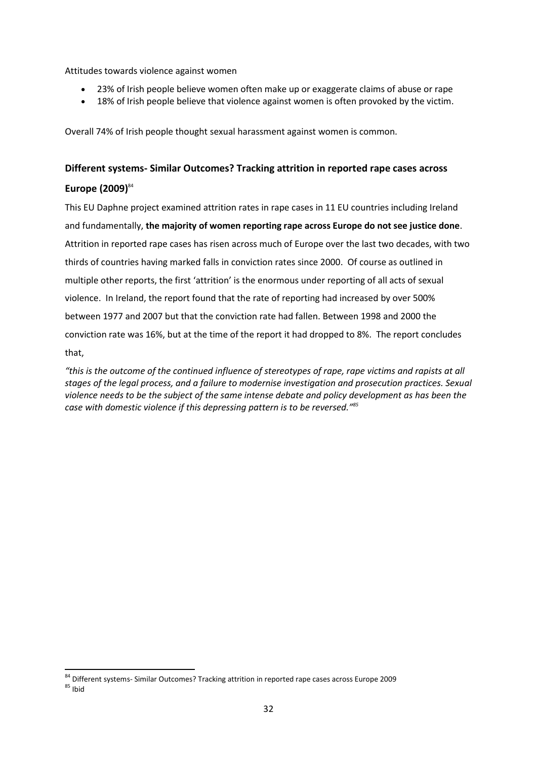Attitudes towards violence against women

- 23% of Irish people believe women often make up or exaggerate claims of abuse or rape
- 18% of Irish people believe that violence against women is often provoked by the victim.

Overall 74% of Irish people thought sexual harassment against women is common.

# **Different systems- Similar Outcomes? Tracking attrition in reported rape cases across**

### **Europe (2009)** 84

**.** 

This EU Daphne project examined attrition rates in rape cases in 11 EU countries including Ireland and fundamentally, **the majority of women reporting rape across Europe do not see justice done**. Attrition in reported rape cases has risen across much of Europe over the last two decades, with two thirds of countries having marked falls in conviction rates since 2000. Of course as outlined in multiple other reports, the first 'attrition' is the enormous under reporting of all acts of sexual violence. In Ireland, the report found that the rate of reporting had increased by over 500% between 1977 and 2007 but that the conviction rate had fallen. Between 1998 and 2000 the conviction rate was 16%, but at the time of the report it had dropped to 8%. The report concludes that,

*"this is the outcome of the continued influence of stereotypes of rape, rape victims and rapists at all stages of the legal process, and a failure to modernise investigation and prosecution practices. Sexual violence needs to be the subject of the same intense debate and policy development as has been the case with domestic violence if this depressing pattern is to be reversed." 85*

<sup>84</sup> Different systems- Similar Outcomes? Tracking attrition in reported rape cases across Europe 2009  $85$  Ibid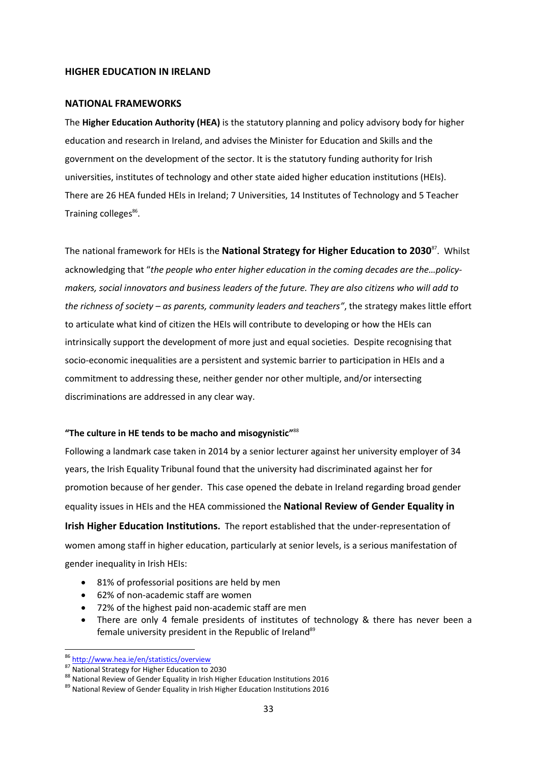#### **HIGHER EDUCATION IN IRELAND**

#### **NATIONAL FRAMEWORKS**

The **Higher Education Authority (HEA)** is the statutory planning and policy advisory body for higher education and research in Ireland, and advises the Minister for Education and Skills and the government on the development of the sector. It is the statutory funding authority for Irish universities, institutes of technology and other state aided higher education institutions (HEIs). There are 26 HEA funded HEIs in Ireland; 7 Universities, 14 Institutes of Technology and 5 Teacher Training colleges<sup>86</sup>.

The national framework for HEIs is the **National Strategy for Higher Education to 2030**<sup>87</sup>. Whilst acknowledging that "*the people who enter higher education in the coming decades are the…policymakers, social innovators and business leaders of the future. They are also citizens who will add to the richness of society – as parents, community leaders and teachers"*, the strategy makes little effort to articulate what kind of citizen the HEIs will contribute to developing or how the HEIs can intrinsically support the development of more just and equal societies. Despite recognising that socio-economic inequalities are a persistent and systemic barrier to participation in HEIs and a commitment to addressing these, neither gender nor other multiple, and/or intersecting discriminations are addressed in any clear way.

### **"The culture in HE tends to be macho and misogynistic"**<sup>88</sup>

Following a landmark case taken in 2014 by a senior lecturer against her university employer of 34 years, the Irish [Equality Tribunal](http://www.irishtimes.com/search/search-7.1213540?tag_organisation=Equality%20Tribunal&article=true) found that the university had discriminated against her for promotion because of her gender. This case opened the debate in Ireland regarding broad gender equality issues in HEIs and the HEA commissioned the **National Review of Gender Equality in** 

**Irish Higher Education Institutions.** The report established that the under-representation of women among staff in higher education, particularly at senior levels, is a serious manifestation of gender inequality in Irish HEIs:

- 81% of professorial positions are held by men
- 62% of non-academic staff are women
- 72% of the highest paid non-academic staff are men
- There are only 4 female presidents of institutes of technology & there has never been a female university president in the Republic of Ireland<sup>89</sup>

<sup>1</sup> <sup>86</sup> <http://www.hea.ie/en/statistics/overview>

<sup>87</sup> National Strategy for Higher Education to 2030

<sup>88</sup> National Review of Gender Equality in Irish Higher Education Institutions 2016

<sup>&</sup>lt;sup>89</sup> National Review of Gender Equality in Irish Higher Education Institutions 2016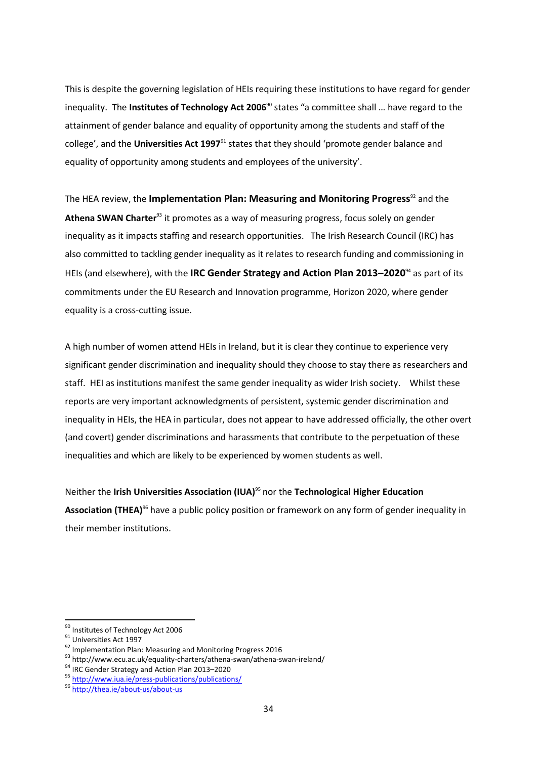This is despite the governing legislation of HEIs requiring these institutions to have regard for gender inequality. The **Institutes of Technology Act 2006**<sup>90</sup> states "a committee shall … have regard to the attainment of gender balance and equality of opportunity among the students and staff of the college', and the **Universities Act 1997**<sup>91</sup> states that they should 'promote gender balance and equality of opportunity among students and employees of the university'.

The HEA review, the **Implementation Plan: Measuring and Monitoring Progress**<sup>92</sup> and the **Athena SWAN Charter**<sup>93</sup> it promotes as a way of measuring progress, focus solely on gender inequality as it impacts staffing and research opportunities. The Irish Research Council (IRC) has also committed to tackling gender inequality as it relates to research funding and commissioning in HEIs (and elsewhere), with the **IRC Gender Strategy and Action Plan 2013–2020**<sup>94</sup> as part of its commitments under the EU Research and Innovation programme, Horizon 2020, where gender equality is a cross-cutting issue.

A high number of women attend HEIs in Ireland, but it is clear they continue to experience very significant gender discrimination and inequality should they choose to stay there as researchers and staff. HEI as institutions manifest the same gender inequality as wider Irish society. Whilst these reports are very important acknowledgments of persistent, systemic gender discrimination and inequality in HEIs, the HEA in particular, does not appear to have addressed officially, the other overt (and covert) gender discriminations and harassments that contribute to the perpetuation of these inequalities and which are likely to be experienced by women students as well.

Neither the **Irish Universities Association (IUA)**<sup>95</sup> nor the **Technological Higher Education**  Association (THEA)<sup>96</sup> have a public policy position or framework on any form of gender inequality in their member institutions.

<sup>90</sup> Institutes of Technology Act 2006

<sup>&</sup>lt;sup>91</sup> Universities Act 1997

<sup>92</sup> Implementation Plan: Measuring and Monitoring Progress 2016

<sup>93</sup> http://www.ecu.ac.uk/equality-charters/athena-swan/athena-swan-ireland/

<sup>94</sup> IRC Gender Strategy and Action Plan 2013-2020

<sup>95</sup> <http://www.iua.ie/press-publications/publications/>

<sup>96</sup> <http://thea.ie/about-us/about-us>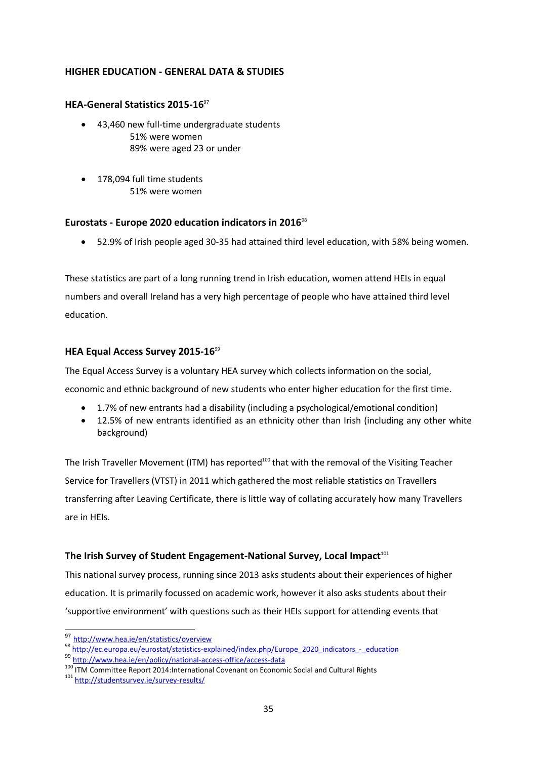### **HIGHER EDUCATION - GENERAL DATA & STUDIES**

### **HEA-General Statistics 2015-16**<sup>97</sup>

- 43,460 new full-time undergraduate students 51% were women 89% were aged 23 or under
- 178,094 full time students 51% were women

### **Eurostats - Europe 2020 education indicators in 2016**<sup>98</sup>

52.9% of Irish people aged 30-35 had attained third level education, with 58% being women.

These statistics are part of a long running trend in Irish education, women attend HEIs in equal numbers and overall Ireland has a very high percentage of people who have attained third level education.

### **HEA Equal Access Survey 2015-16**<sup>99</sup>

The Equal Access Survey is a voluntary HEA survey which collects information on the social,

economic and ethnic background of new students who enter higher education for the first time.

- 1.7% of new entrants had a disability (including a psychological/emotional condition)
- 12.5% of new entrants identified as an ethnicity other than Irish (including any other white background)

The Irish Traveller Movement (ITM) has reported<sup>100</sup> that with the removal of the Visiting Teacher Service for Travellers (VTST) in 2011 which gathered the most reliable statistics on Travellers transferring after Leaving Certificate, there is little way of collating accurately how many Travellers are in HEIs.

### The Irish Survey of Student Engagement-National Survey, Local Impact<sup>101</sup>

This national survey process, running since 2013 asks students about their experiences of higher education. It is primarily focussed on academic work, however it also asks students about their 'supportive environment' with questions such as their HEIs support for attending events that

<sup>97</sup> <http://www.hea.ie/en/statistics/overview>

<sup>98</sup> [http://ec.europa.eu/eurostat/statistics-explained/index.php/Europe\\_2020\\_indicators\\_-\\_education](http://ec.europa.eu/eurostat/statistics-explained/index.php/Europe_2020_indicators_-_education)

<sup>99</sup> <http://www.hea.ie/en/policy/national-access-office/access-data>

<sup>100</sup> ITM Committee Report 2014:International Covenant on Economic Social and Cultural Rights 101 <http://studentsurvey.ie/survey-results/>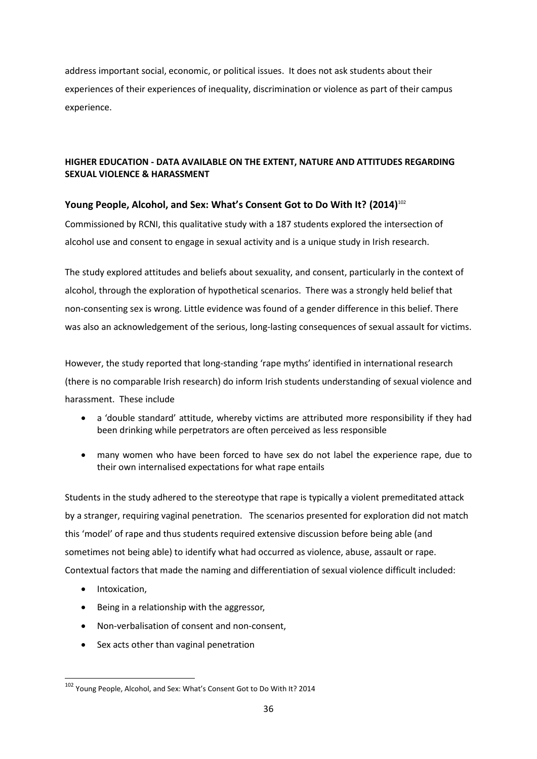address important social, economic, or political issues. It does not ask students about their experiences of their experiences of inequality, discrimination or violence as part of their campus experience.

### **HIGHER EDUCATION - DATA AVAILABLE ON THE EXTENT, NATURE AND ATTITUDES REGARDING SEXUAL VIOLENCE & HARASSMENT**

### **Young People, Alcohol, and Sex: What's Consent Got to Do With It? (2014)**<sup>102</sup>

Commissioned by RCNI, this qualitative study with a 187 students explored the intersection of alcohol use and consent to engage in sexual activity and is a unique study in Irish research.

The study explored attitudes and beliefs about sexuality, and consent, particularly in the context of alcohol, through the exploration of hypothetical scenarios. There was a strongly held belief that non-consenting sex is wrong. Little evidence was found of a gender difference in this belief. There was also an acknowledgement of the serious, long-lasting consequences of sexual assault for victims.

However, the study reported that long-standing 'rape myths' identified in international research (there is no comparable Irish research) do inform Irish students understanding of sexual violence and harassment. These include

- a 'double standard' attitude, whereby victims are attributed more responsibility if they had been drinking while perpetrators are often perceived as less responsible
- many women who have been forced to have sex do not label the experience rape, due to their own internalised expectations for what rape entails

Students in the study adhered to the stereotype that rape is typically a violent premeditated attack by a stranger, requiring vaginal penetration. The scenarios presented for exploration did not match this 'model' of rape and thus students required extensive discussion before being able (and sometimes not being able) to identify what had occurred as violence, abuse, assault or rape. Contextual factors that made the naming and differentiation of sexual violence difficult included:

• Intoxication,

- Being in a relationship with the aggressor,
- Non-verbalisation of consent and non-consent,
- Sex acts other than vaginal penetration

<sup>102</sup> Young People, Alcohol, and Sex: What's Consent Got to Do With It? 2014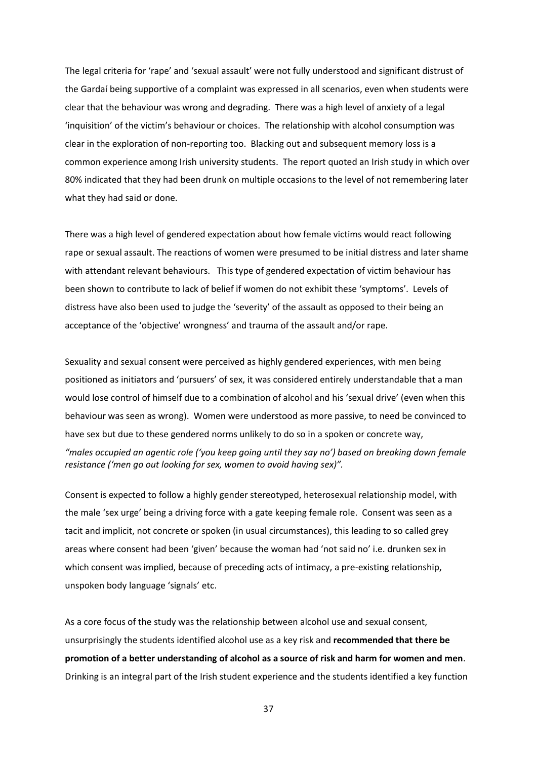The legal criteria for 'rape' and 'sexual assault' were not fully understood and significant distrust of the Gardaí being supportive of a complaint was expressed in all scenarios, even when students were clear that the behaviour was wrong and degrading. There was a high level of anxiety of a legal 'inquisition' of the victim's behaviour or choices. The relationship with alcohol consumption was clear in the exploration of non-reporting too. Blacking out and subsequent memory loss is a common experience among Irish university students. The report quoted an Irish study in which over 80% indicated that they had been drunk on multiple occasions to the level of not remembering later what they had said or done.

There was a high level of gendered expectation about how female victims would react following rape or sexual assault. The reactions of women were presumed to be initial distress and later shame with attendant relevant behaviours. This type of gendered expectation of victim behaviour has been shown to contribute to lack of belief if women do not exhibit these 'symptoms'. Levels of distress have also been used to judge the 'severity' of the assault as opposed to their being an acceptance of the 'objective' wrongness' and trauma of the assault and/or rape.

Sexuality and sexual consent were perceived as highly gendered experiences, with men being positioned as initiators and 'pursuers' of sex, it was considered entirely understandable that a man would lose control of himself due to a combination of alcohol and his 'sexual drive' (even when this behaviour was seen as wrong). Women were understood as more passive, to need be convinced to have sex but due to these gendered norms unlikely to do so in a spoken or concrete way,

*"males occupied an agentic role ('you keep going until they say no') based on breaking down female resistance ('men go out looking for sex, women to avoid having sex)".*

Consent is expected to follow a highly gender stereotyped, heterosexual relationship model, with the male 'sex urge' being a driving force with a gate keeping female role. Consent was seen as a tacit and implicit, not concrete or spoken (in usual circumstances), this leading to so called grey areas where consent had been 'given' because the woman had 'not said no' i.e. drunken sex in which consent was implied, because of preceding acts of intimacy, a pre-existing relationship, unspoken body language 'signals' etc.

As a core focus of the study was the relationship between alcohol use and sexual consent, unsurprisingly the students identified alcohol use as a key risk and **recommended that there be promotion of a better understanding of alcohol as a source of risk and harm for women and men**. Drinking is an integral part of the Irish student experience and the students identified a key function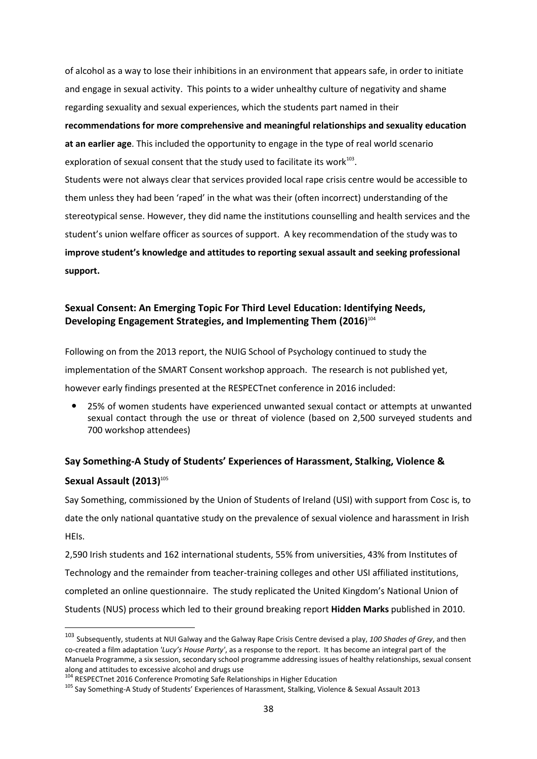of alcohol as a way to lose their inhibitions in an environment that appears safe, in order to initiate and engage in sexual activity. This points to a wider unhealthy culture of negativity and shame regarding sexuality and sexual experiences, which the students part named in their **recommendations for more comprehensive and meaningful relationships and sexuality education at an earlier age**. This included the opportunity to engage in the type of real world scenario exploration of sexual consent that the study used to facilitate its work<sup>103</sup>. Students were not always clear that services provided local rape crisis centre would be accessible to them unless they had been 'raped' in the what was their (often incorrect) understanding of the stereotypical sense. However, they did name the institutions counselling and health services and the student's union welfare officer as sources of support. A key recommendation of the study was to **improve student's knowledge and attitudes to reporting sexual assault and seeking professional support.**

### **Sexual Consent: An Emerging Topic For Third Level Education: Identifying Needs, Developing Engagement Strategies, and Implementing Them (2016)** 104

Following on from the 2013 report, the NUIG School of Psychology continued to study the implementation of the SMART Consent workshop approach. The research is not published yet, however early findings presented at the RESPECTnet conference in 2016 included:

 25% of women students have experienced unwanted sexual contact or attempts at unwanted sexual contact through the use or threat of violence (based on 2,500 surveyed students and 700 workshop attendees)

### **Say Something-A Study of Students' Experiences of Harassment, Stalking, Violence &**

### **Sexual Assault (2013)** 105

**.** 

Say Something, commissioned by the Union of Students of Ireland (USI) with support from Cosc is, to date the only national quantative study on the prevalence of sexual violence and harassment in Irish HEIs.

2,590 Irish students and 162 international students, 55% from universities, 43% from Institutes of Technology and the remainder from teacher-training colleges and other USI affiliated institutions, completed an online questionnaire. The study replicated the United Kingdom's National Union of Students (NUS) process which led to their ground breaking report **Hidden Marks** published in 2010.

<sup>103</sup> Subsequently, students at NUI Galway and the Galway Rape Crisis Centre devised a play, *100 Shades of Grey*, and then co-created a film adaptation *'Lucy's House Party'*, as a response to the report. It has become an integral part of the Manuela Programme, a six session, secondary school programme addressing issues of healthy relationships, sexual consent along and attitudes to excessive alcohol and drugs use

<sup>&</sup>lt;sup>104</sup> RESPECTnet 2016 Conference Promoting Safe Relationships in Higher Education

<sup>&</sup>lt;sup>105</sup> Say Something-A Study of Students' Experiences of Harassment, Stalking, Violence & Sexual Assault 2013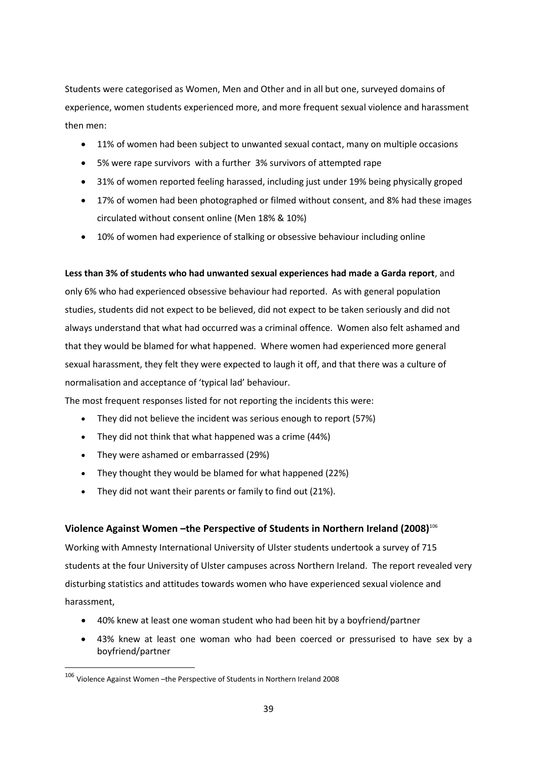Students were categorised as Women, Men and Other and in all but one, surveyed domains of experience, women students experienced more, and more frequent sexual violence and harassment then men:

- 11% of women had been subject to unwanted sexual contact, many on multiple occasions
- 5% were rape survivors with a further 3% survivors of attempted rape
- 31% of women reported feeling harassed, including just under 19% being physically groped
- 17% of women had been photographed or filmed without consent, and 8% had these images circulated without consent online (Men 18% & 10%)
- 10% of women had experience of stalking or obsessive behaviour including online

### **Less than 3% of students who had unwanted sexual experiences had made a Garda report**, and

only 6% who had experienced obsessive behaviour had reported. As with general population studies, students did not expect to be believed, did not expect to be taken seriously and did not always understand that what had occurred was a criminal offence. Women also felt ashamed and that they would be blamed for what happened. Where women had experienced more general sexual harassment, they felt they were expected to laugh it off, and that there was a culture of normalisation and acceptance of 'typical lad' behaviour.

The most frequent responses listed for not reporting the incidents this were:

- They did not believe the incident was serious enough to report (57%)
- They did not think that what happened was a crime (44%)
- They were ashamed or embarrassed (29%)
- They thought they would be blamed for what happened (22%)
- They did not want their parents or family to find out (21%).

### **Violence Against Women –the Perspective of Students in Northern Ireland (2008)**<sup>106</sup>

Working with Amnesty International University of Ulster students undertook a survey of 715 students at the four University of Ulster campuses across Northern Ireland. The report revealed very disturbing statistics and attitudes towards women who have experienced sexual violence and harassment,

- 40% knew at least one woman student who had been hit by a boyfriend/partner
- 43% knew at least one woman who had been coerced or pressurised to have sex by a boyfriend/partner

<sup>106</sup> Violence Against Women –the Perspective of Students in Northern Ireland 2008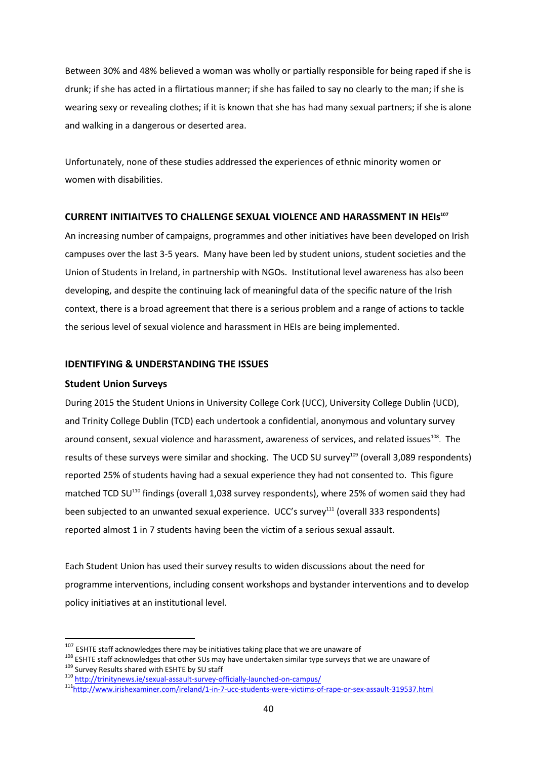Between 30% and 48% believed a woman was wholly or partially responsible for being raped if she is drunk; if she has acted in a flirtatious manner; if she has failed to say no clearly to the man; if she is wearing sexy or revealing clothes; if it is known that she has had many sexual partners; if she is alone and walking in a dangerous or deserted area.

Unfortunately, none of these studies addressed the experiences of ethnic minority women or women with disabilities.

### **CURRENT INITIAITVES TO CHALLENGE SEXUAL VIOLENCE AND HARASSMENT IN HEIs<sup>107</sup>**

An increasing number of campaigns, programmes and other initiatives have been developed on Irish campuses over the last 3-5 years. Many have been led by student unions, student societies and the Union of Students in Ireland, in partnership with NGOs. Institutional level awareness has also been developing, and despite the continuing lack of meaningful data of the specific nature of the Irish context, there is a broad agreement that there is a serious problem and a range of actions to tackle the serious level of sexual violence and harassment in HEIs are being implemented.

### **IDENTIFYING & UNDERSTANDING THE ISSUES**

### **Student Union Surveys**

 $\overline{\phantom{a}}$ 

During 2015 the Student Unions in University College Cork (UCC), University College Dublin (UCD), and Trinity College Dublin (TCD) each undertook a confidential, anonymous and voluntary survey around consent, sexual violence and harassment, awareness of services, and related issues<sup>108</sup>. The results of these surveys were similar and shocking. The UCD SU survey<sup>109</sup> (overall 3,089 respondents) reported 25% of students having had a sexual experience they had not consented to. This figure matched TCD SU<sup>110</sup> findings (overall 1,038 survey respondents), where 25% of women said they had been subjected to an unwanted sexual experience. UCC's survey<sup>111</sup> (overall 333 respondents) reported almost 1 in 7 students having been the victim of a serious sexual assault.

Each Student Union has used their survey results to widen discussions about the need for programme interventions, including consent workshops and bystander interventions and to develop policy initiatives at an institutional level.

 $107$  ESHTE staff acknowledges there may be initiatives taking place that we are unaware of

<sup>&</sup>lt;sup>108</sup> ESHTE staff acknowledges that other SUs may have undertaken similar type surveys that we are unaware of 109 Survey Results shared with ESHTE by SU staff

<sup>110</sup> <http://trinitynews.ie/sexual-assault-survey-officially-launched-on-campus/>

<sup>111</sup><http://www.irishexaminer.com/ireland/1-in-7-ucc-students-were-victims-of-rape-or-sex-assault-319537.html>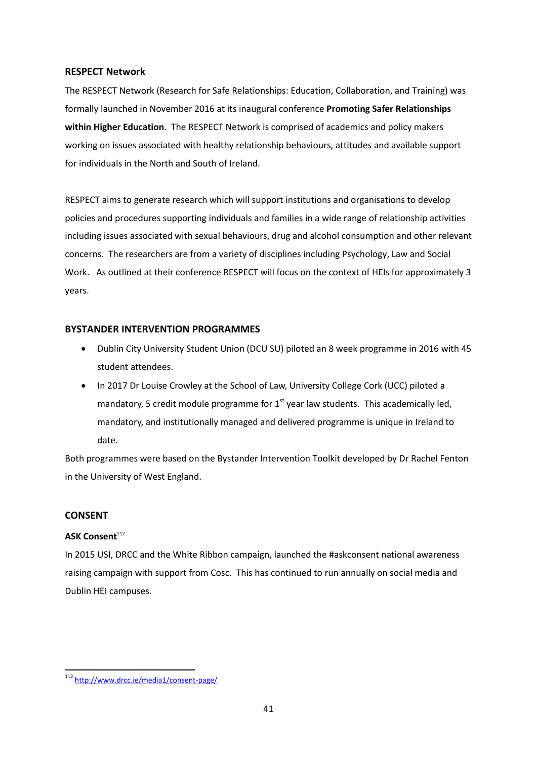### **RESPECT Network**

The RESPECT Network (Research for Safe Relationships: Education, Collaboration, and Training) was formally launched in November 2016 at its inaugural conference **Promoting Safer Relationships within Higher Education**. The RESPECT Network is comprised of academics and policy makers working on issues associated with healthy relationship behaviours, attitudes and available support for individuals in the North and South of Ireland.

RESPECT aims to generate research which will support institutions and organisations to develop policies and procedures supporting individuals and families in a wide range of relationship activities including issues associated with sexual behaviours, drug and alcohol consumption and other relevant concerns. The researchers are from a variety of disciplines including Psychology, Law and Social Work. As outlined at their conference RESPECT will focus on the context of HEIs for approximately 3 years.

### **BYSTANDER INTERVENTION PROGRAMMES**

- Dublin City University Student Union (DCU SU) piloted an 8 week programme in 2016 with 45 student attendees.
- In 2017 Dr Louise Crowley at the School of Law, University College Cork (UCC) piloted a mandatory, 5 credit module programme for  $1<sup>st</sup>$  year law students. This academically led, mandatory, and institutionally managed and delivered programme is unique in Ireland to date.

Both programmes were based on the Bystander Intervention Toolkit developed by Dr Rachel Fenton in the University of West England.

### **CONSENT**

1

### **ASK Consent**<sup>112</sup>

In 2015 USI, DRCC and the White Ribbon campaign, launched the #askconsent national awareness raising campaign with support from Cosc. This has continued to run annually on social media and Dublin HEI campuses.

<sup>112</sup> <http://www.drcc.ie/media1/consent-page/>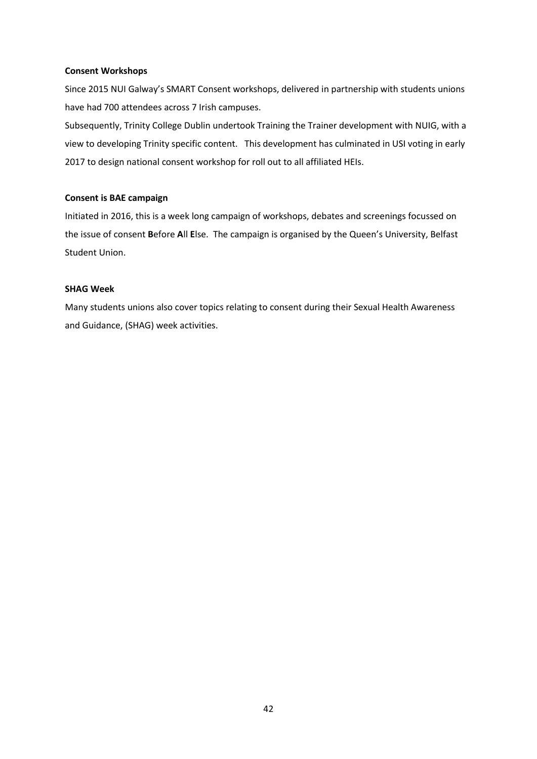### **Consent Workshops**

Since 2015 NUI Galway's SMART Consent workshops, delivered in partnership with students unions have had 700 attendees across 7 Irish campuses.

Subsequently, Trinity College Dublin undertook Training the Trainer development with NUIG, with a view to developing Trinity specific content. This development has culminated in USI voting in early 2017 to design national consent workshop for roll out to all affiliated HEIs.

### **Consent is BAE campaign**

Initiated in 2016, this is a week long campaign of workshops, debates and screenings focussed on the issue of consent **B**efore **A**ll **E**lse. The campaign is organised by the Queen's University, Belfast Student Union.

### **SHAG Week**

Many students unions also cover topics relating to consent during their Sexual Health Awareness and Guidance, (SHAG) week activities.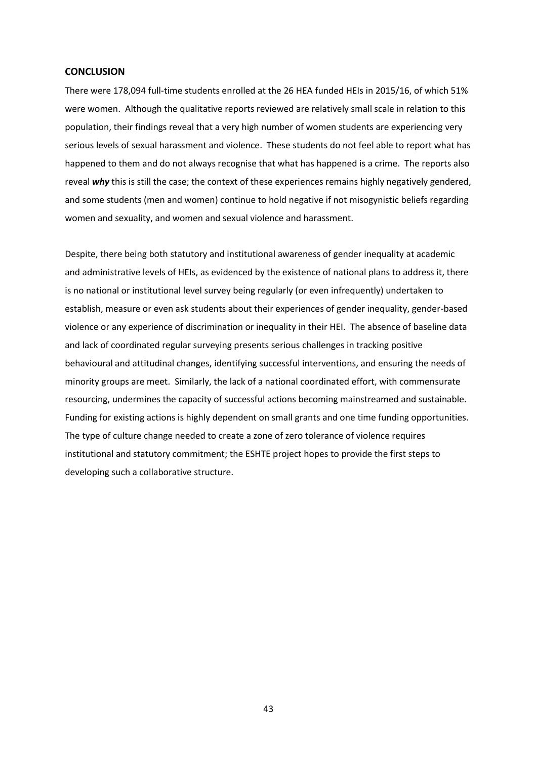#### **CONCLUSION**

There were 178,094 full-time students enrolled at the 26 HEA funded HEIs in 2015/16, of which 51% were women. Although the qualitative reports reviewed are relatively small scale in relation to this population, their findings reveal that a very high number of women students are experiencing very serious levels of sexual harassment and violence. These students do not feel able to report what has happened to them and do not always recognise that what has happened is a crime. The reports also reveal **why** this is still the case; the context of these experiences remains highly negatively gendered, and some students (men and women) continue to hold negative if not misogynistic beliefs regarding women and sexuality, and women and sexual violence and harassment.

Despite, there being both statutory and institutional awareness of gender inequality at academic and administrative levels of HEIs, as evidenced by the existence of national plans to address it, there is no national or institutional level survey being regularly (or even infrequently) undertaken to establish, measure or even ask students about their experiences of gender inequality, gender-based violence or any experience of discrimination or inequality in their HEI. The absence of baseline data and lack of coordinated regular surveying presents serious challenges in tracking positive behavioural and attitudinal changes, identifying successful interventions, and ensuring the needs of minority groups are meet. Similarly, the lack of a national coordinated effort, with commensurate resourcing, undermines the capacity of successful actions becoming mainstreamed and sustainable. Funding for existing actions is highly dependent on small grants and one time funding opportunities. The type of culture change needed to create a zone of zero tolerance of violence requires institutional and statutory commitment; the ESHTE project hopes to provide the first steps to developing such a collaborative structure.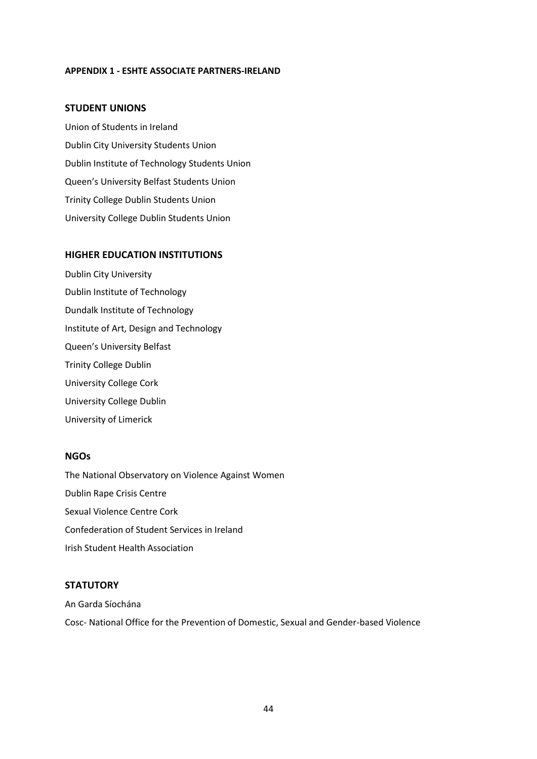#### **APPENDIX 1 - ESHTE ASSOCIATE PARTNERS-IRELAND**

### **STUDENT UNIONS**

Union of Students in Ireland Dublin City University Students Union Dublin Institute of Technology Students Union Queen's University Belfast Students Union Trinity College Dublin Students Union University College Dublin Students Union

### **HIGHER EDUCATION INSTITUTIONS**

Dublin City University Dublin Institute of Technology Dundalk Institute of Technology Institute of Art, Design and Technology Queen's University Belfast Trinity College Dublin University College Cork University College Dublin University of Limerick

#### **NGOs**

The National Observatory on Violence Against Women Dublin Rape Crisis Centre Sexual Violence Centre Cork Confederation of Student Services in Ireland Irish Student Health Association

### **STATUTORY**

An Garda Síochána Cosc- National Office for the Prevention of Domestic, Sexual and Gender-based Violence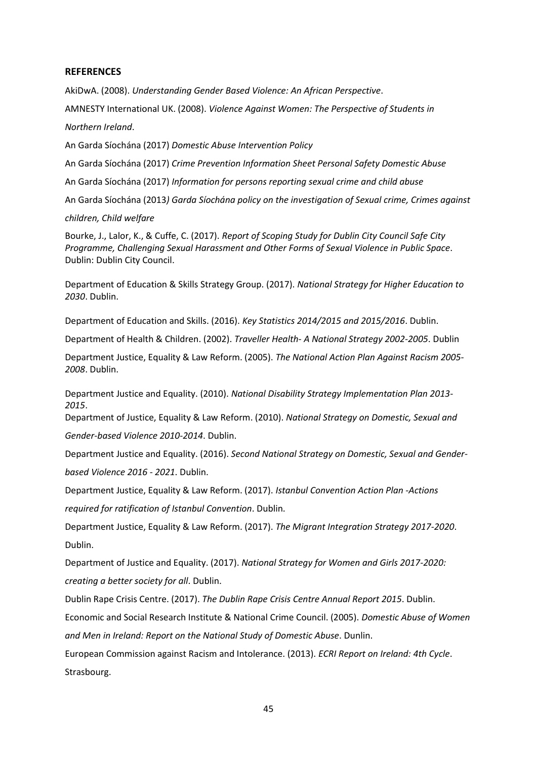### **REFERENCES**

AkiDwA. (2008). *Understanding Gender Based Violence: An African Perspective*.

AMNESTY International UK. (2008). *Violence Against Women: The Perspective of Students in Northern Ireland*.

An Garda Síochána (2017) *Domestic Abuse Intervention Policy*

An Garda Síochána (2017) *Crime Prevention Information Sheet Personal Safety Domestic Abuse*

An Garda Síochána (2017) *Information for persons reporting sexual crime and child abuse* 

An Garda Síochána (2013*) Garda Síochána policy on the investigation of Sexual crime, Crimes against* 

*children, Child welfare*

Bourke, J., Lalor, K., & Cuffe, C. (2017). *Report of Scoping Study for Dublin City Council Safe City Programme, Challenging Sexual Harassment and Other Forms of Sexual Violence in Public Space*. Dublin: Dublin City Council.

Department of Education & Skills Strategy Group. (2017). *National Strategy for Higher Education to 2030*. Dublin.

Department of Education and Skills. (2016). *Key Statistics 2014/2015 and 2015/2016*. Dublin.

Department of Health & Children. (2002). *Traveller Health- A National Strategy 2002-2005*. Dublin

Department Justice, Equality & Law Reform. (2005). *The National Action Plan Against Racism 2005- 2008*. Dublin.

Department Justice and Equality. (2010). *National Disability Strategy Implementation Plan 2013- 2015*.

Department of Justice, Equality & Law Reform. (2010). *National Strategy on Domestic, Sexual and* 

*Gender-based Violence 2010-2014*. Dublin.

Department Justice and Equality. (2016). *Second National Strategy on Domestic, Sexual and Genderbased Violence 2016 - 2021*. Dublin.

Department Justice, Equality & Law Reform. (2017). *Istanbul Convention Action Plan -Actions required for ratification of Istanbul Convention*. Dublin.

Department Justice, Equality & Law Reform. (2017). *The Migrant Integration Strategy 2017-2020*. Dublin.

Department of Justice and Equality. (2017). *National Strategy for Women and Girls 2017-2020: creating a better society for all*. Dublin.

Dublin Rape Crisis Centre. (2017). *The Dublin Rape Crisis Centre Annual Report 2015*. Dublin. Economic and Social Research Institute & National Crime Council. (2005). *Domestic Abuse of Women and Men in Ireland: Report on the National Study of Domestic Abuse*. Dunlin.

European Commission against Racism and Intolerance. (2013). *ECRI Report on Ireland: 4th Cycle*. Strasbourg.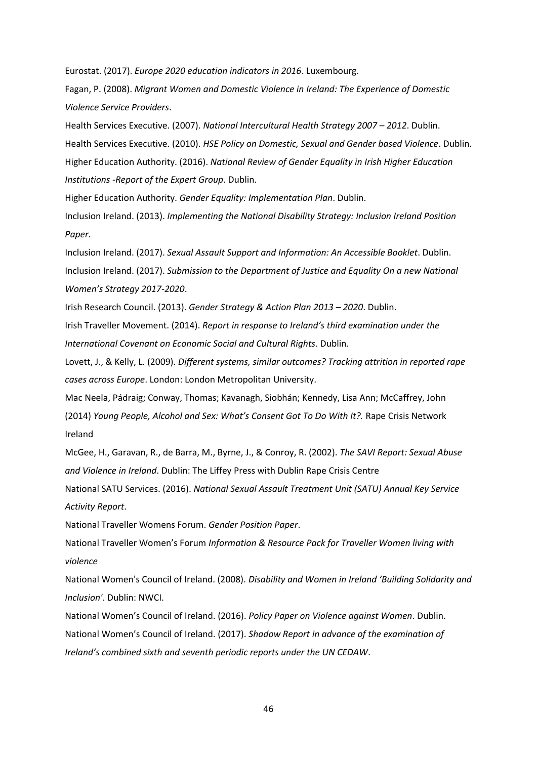Eurostat. (2017). *Europe 2020 education indicators in 2016*. Luxembourg.

Fagan, P. (2008). *Migrant Women and Domestic Violence in Ireland: The Experience of Domestic Violence Service Providers*.

Health Services Executive. (2007). *National Intercultural Health Strategy 2007 – 2012*. Dublin. Health Services Executive. (2010). *HSE Policy on Domestic, Sexual and Gender based Violence*. Dublin. Higher Education Authority. (2016). *National Review of Gender Equality in Irish Higher Education Institutions -Report of the Expert Group*. Dublin.

Higher Education Authority. *Gender Equality: Implementation Plan*. Dublin.

Inclusion Ireland. (2013). *Implementing the National Disability Strategy: Inclusion Ireland Position Paper*.

Inclusion Ireland. (2017). *Sexual Assault Support and Information: An Accessible Booklet*. Dublin. Inclusion Ireland. (2017). *Submission to the Department of Justice and Equality On a new National Women's Strategy 2017-2020*.

Irish Research Council. (2013). *Gender Strategy & Action Plan 2013 – 2020*. Dublin.

Irish Traveller Movement. (2014). *Report in response to Ireland's third examination under the International Covenant on Economic Social and Cultural Rights*. Dublin.

Lovett, J., & Kelly, L. (2009). *Different systems, similar outcomes? Tracking attrition in reported rape cases across Europe*. London: London Metropolitan University.

Mac Neela, Pádraig; Conway, Thomas; Kavanagh, Siobhán; Kennedy, Lisa Ann; McCaffrey, John (2014) *Young People, Alcohol and Sex: What's Consent Got To Do With It?.* Rape Crisis Network Ireland

McGee, H., Garavan, R., de Barra, M., Byrne, J., & Conroy, R. (2002). *The SAVI Report: Sexual Abuse and Violence in Ireland*. Dublin: The Liffey Press with Dublin Rape Crisis Centre

National SATU Services. (2016). *National Sexual Assault Treatment Unit (SATU) Annual Key Service Activity Report*.

National Traveller Womens Forum. *Gender Position Paper*.

National Traveller Women's Forum *Information & Resource Pack for Traveller Women living with violence*

National Women's Council of Ireland. (2008). *Disability and Women in Ireland 'Building Solidarity and Inclusion'*. Dublin: NWCI.

National Women's Council of Ireland. (2016). *Policy Paper on Violence against Women*. Dublin. National Women's Council of Ireland. (2017). *Shadow Report in advance of the examination of Ireland's combined sixth and seventh periodic reports under the UN CEDAW*.